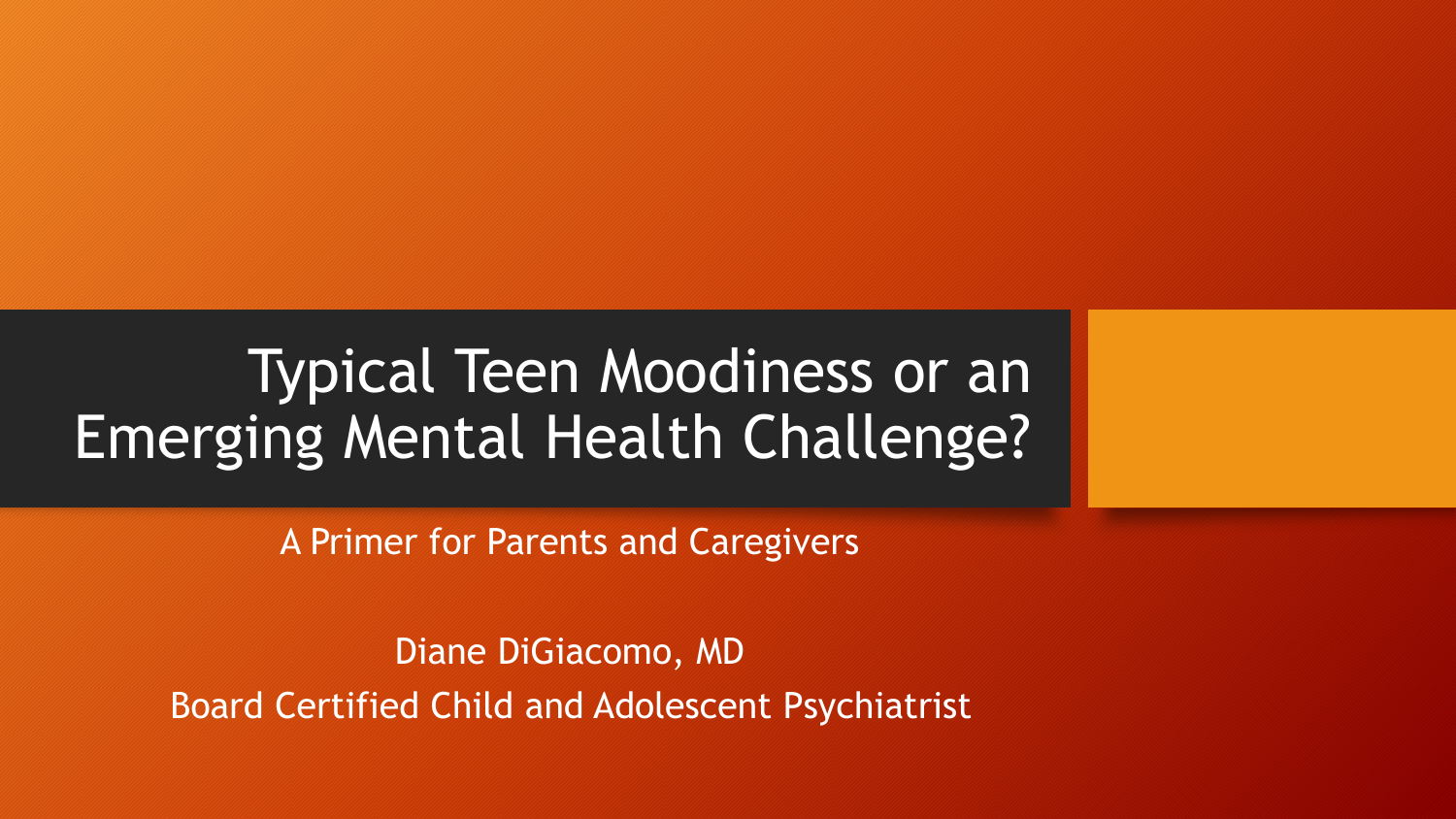# Typical Teen Moodiness or an Emerging Mental Health Challenge?

A Primer for Parents and Caregivers

Diane DiGiacomo, MD Board Certified Child and Adolescent Psychiatrist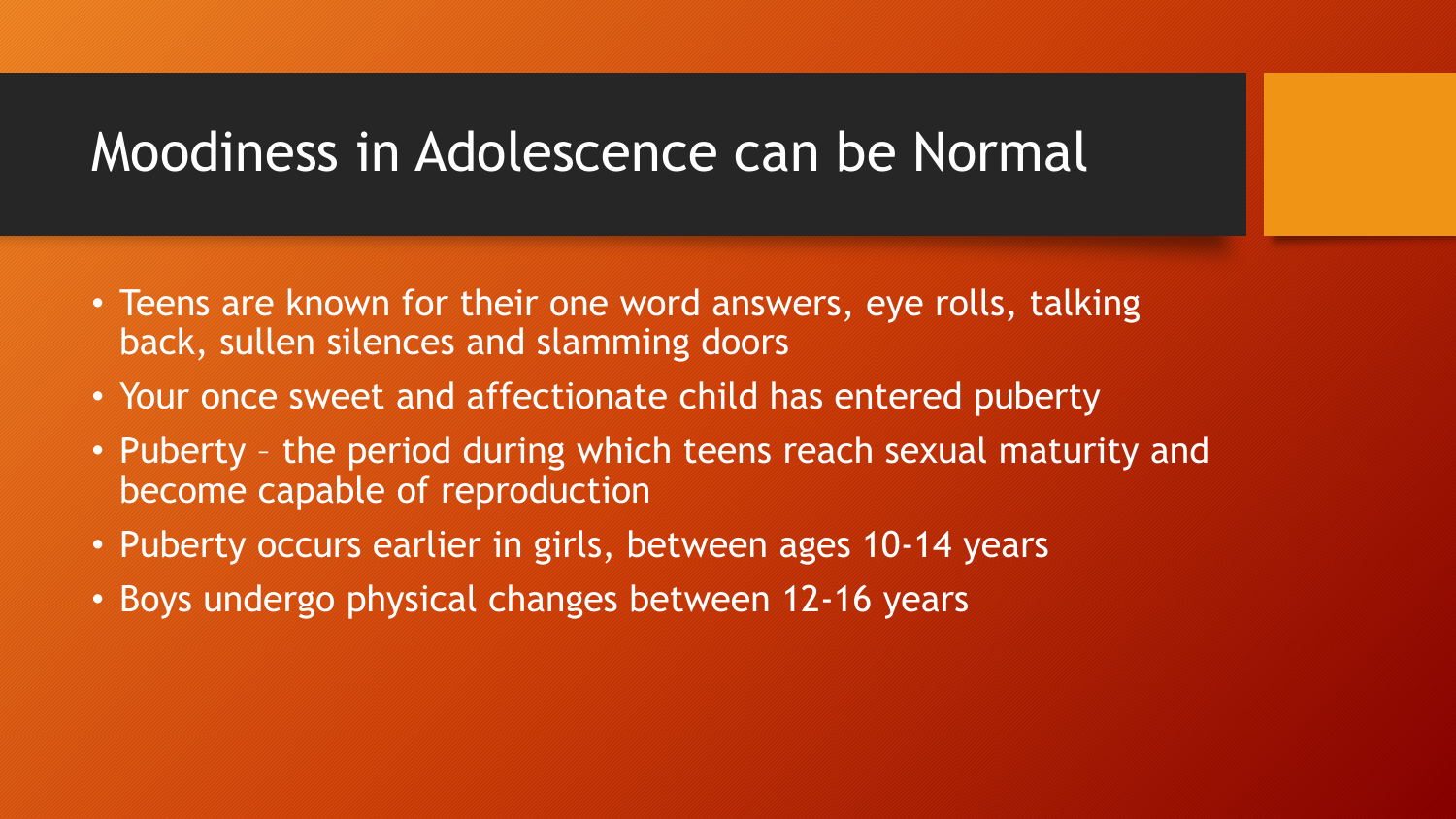#### Moodiness in Adolescence can be Normal

- Teens are known for their one word answers, eye rolls, talking back, sullen silences and slamming doors
- Your once sweet and affectionate child has entered puberty
- Puberty the period during which teens reach sexual maturity and become capable of reproduction
- Puberty occurs earlier in girls, between ages 10-14 years
- Boys undergo physical changes between 12-16 years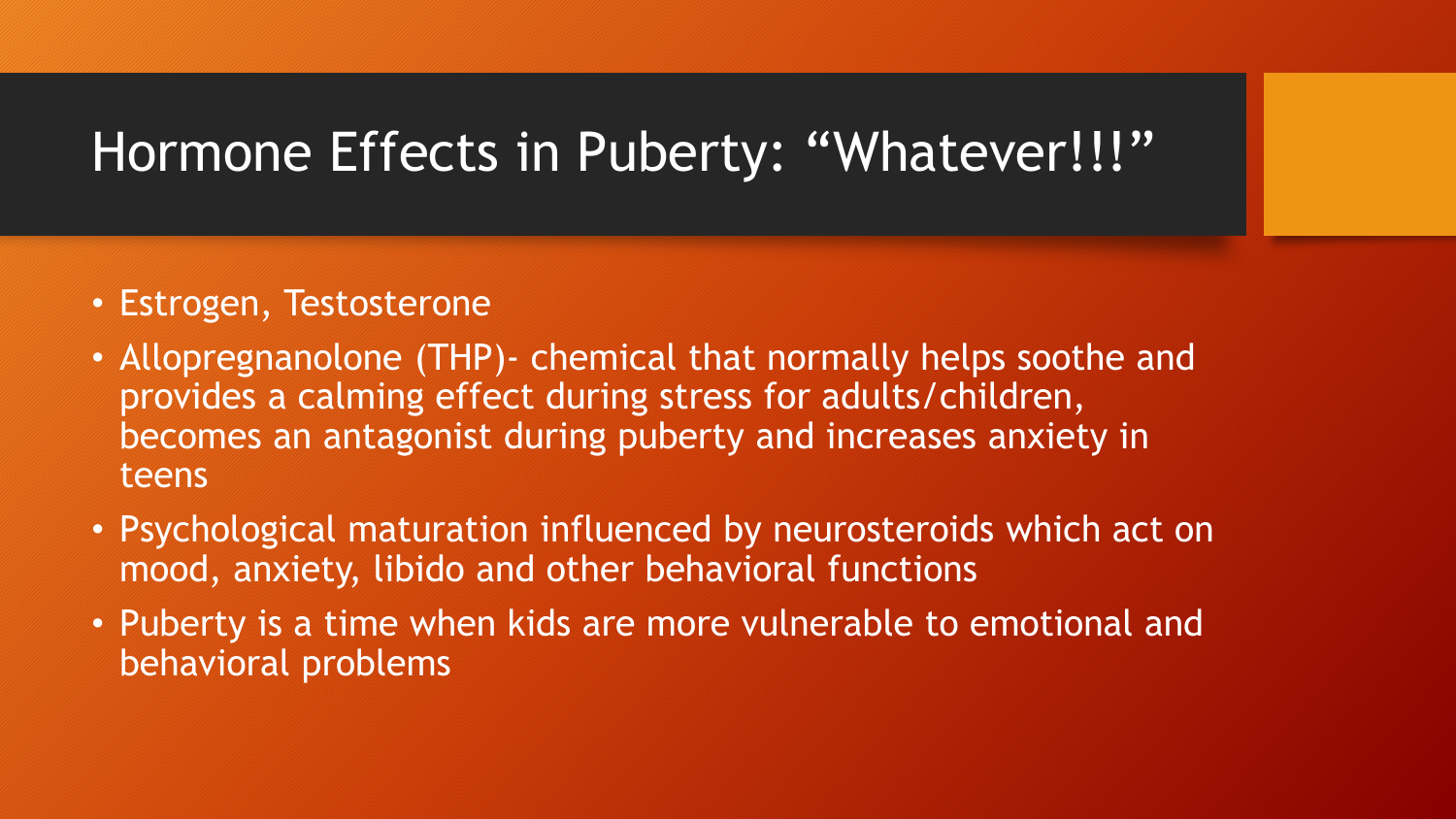## Hormone Effects in Puberty: "Whatever!!!"

- Estrogen, Testosterone
- Allopregnanolone (THP)- chemical that normally helps soothe and provides a calming effect during stress for adults/children, becomes an antagonist during puberty and increases anxiety in teens
- Psychological maturation influenced by neurosteroids which act on mood, anxiety, libido and other behavioral functions
- Puberty is a time when kids are more vulnerable to emotional and behavioral problems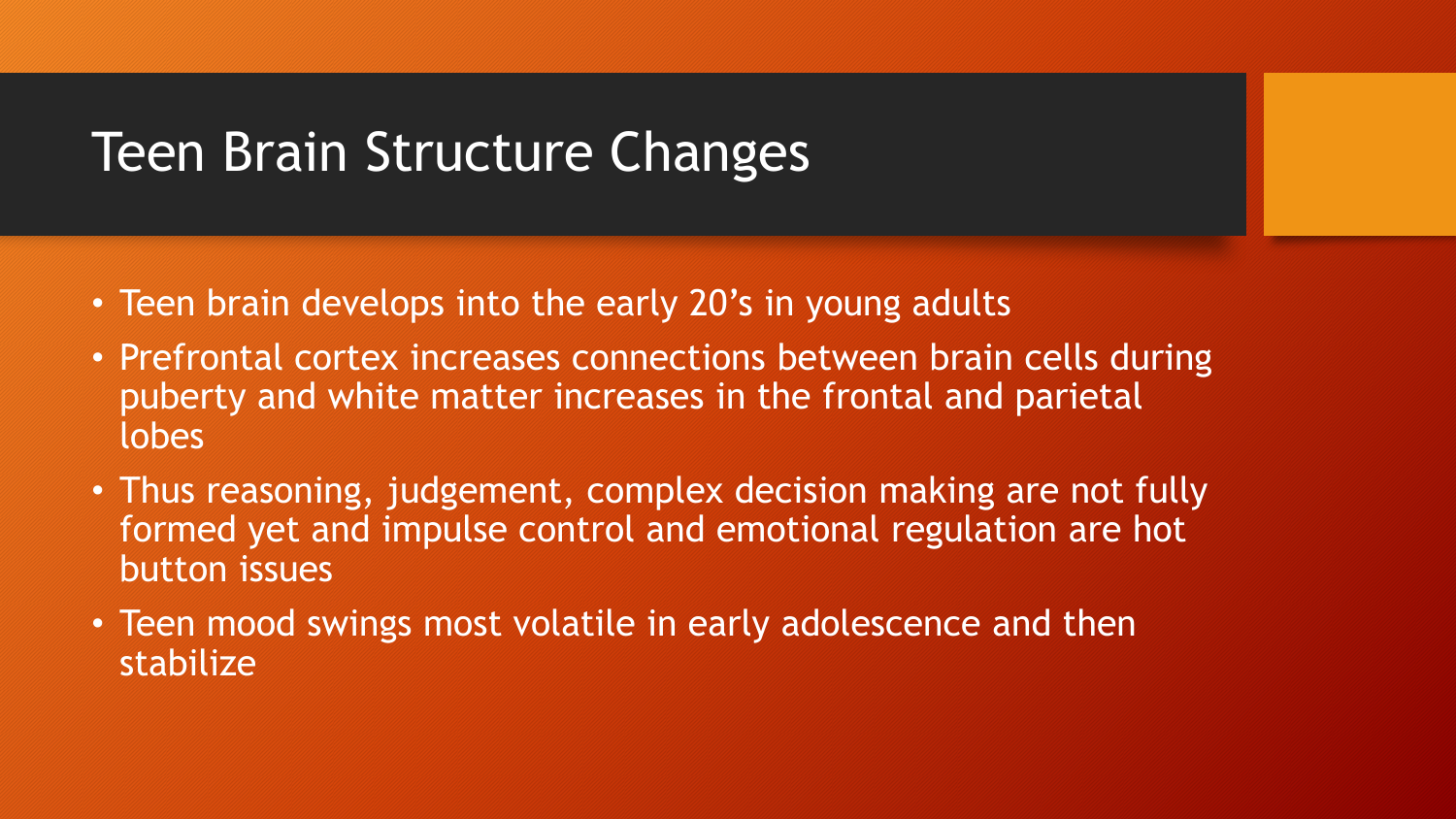## Teen Brain Structure Changes

- Teen brain develops into the early 20's in young adults
- Prefrontal cortex increases connections between brain cells during puberty and white matter increases in the frontal and parietal lobes
- Thus reasoning, judgement, complex decision making are not fully formed yet and impulse control and emotional regulation are hot button issues
- Teen mood swings most volatile in early adolescence and then stabilize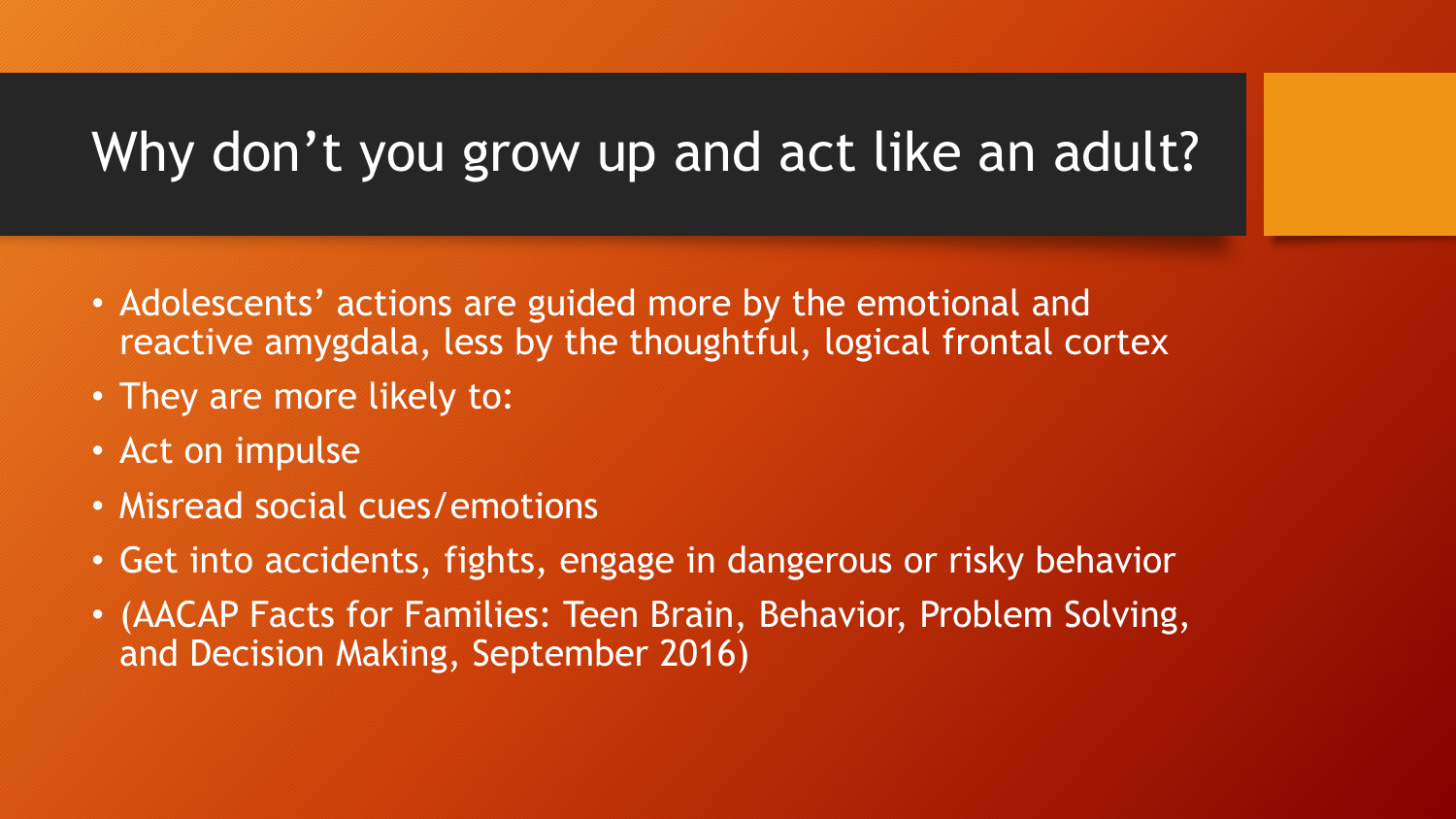# Why don't you grow up and act like an adult?

- Adolescents' actions are guided more by the emotional and reactive amygdala, less by the thoughtful, logical frontal cortex
- They are more likely to:
- Act on impulse
- Misread social cues/emotions
- Get into accidents, fights, engage in dangerous or risky behavior
- (AACAP Facts for Families: Teen Brain, Behavior, Problem Solving, and Decision Making, September 2016)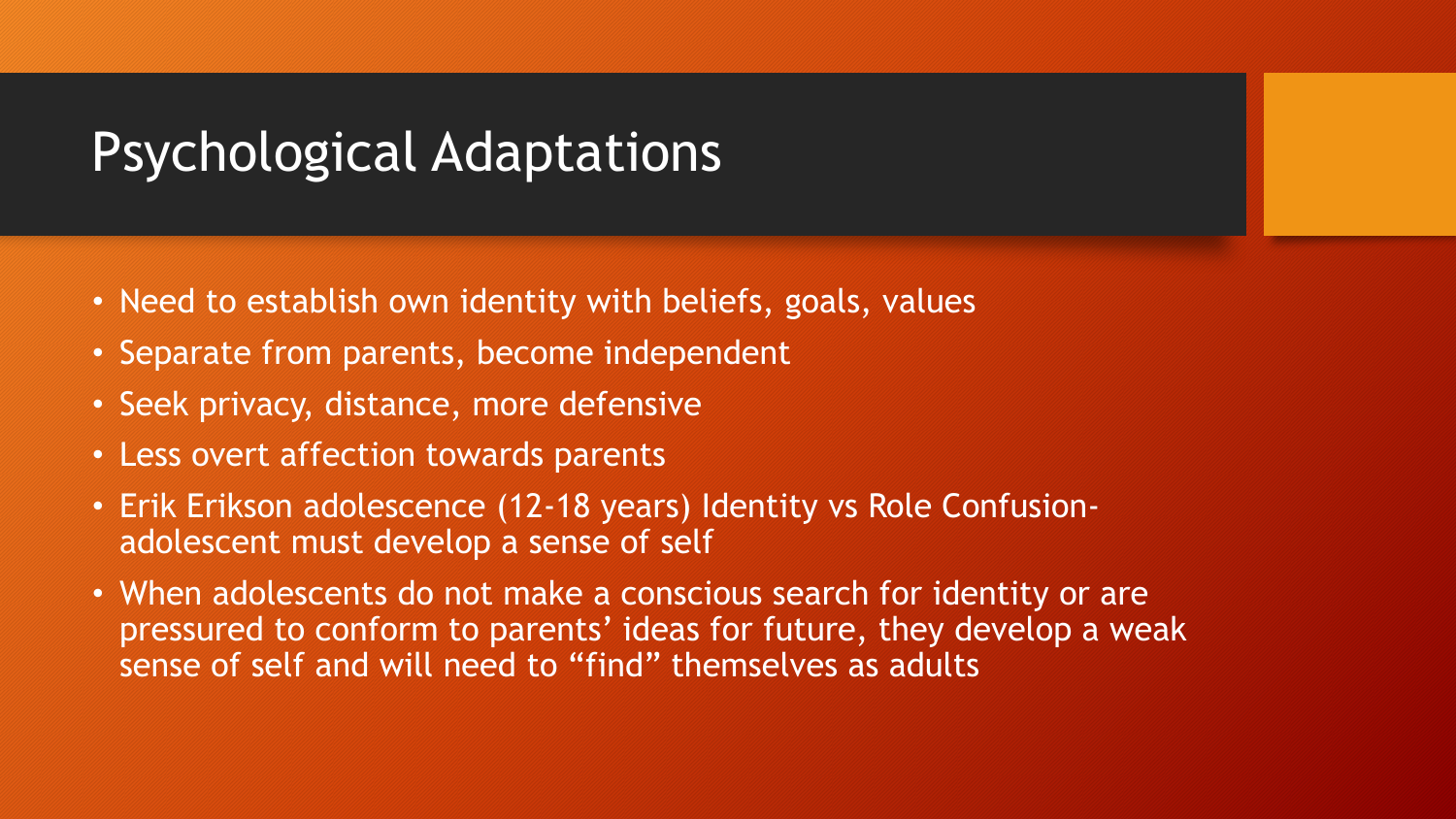### Psychological Adaptations

- Need to establish own identity with beliefs, goals, values
- Separate from parents, become independent
- Seek privacy, distance, more defensive
- Less overt affection towards parents
- Erik Erikson adolescence (12-18 years) Identity vs Role Confusionadolescent must develop a sense of self
- When adolescents do not make a conscious search for identity or are pressured to conform to parents' ideas for future, they develop a weak sense of self and will need to "find" themselves as adults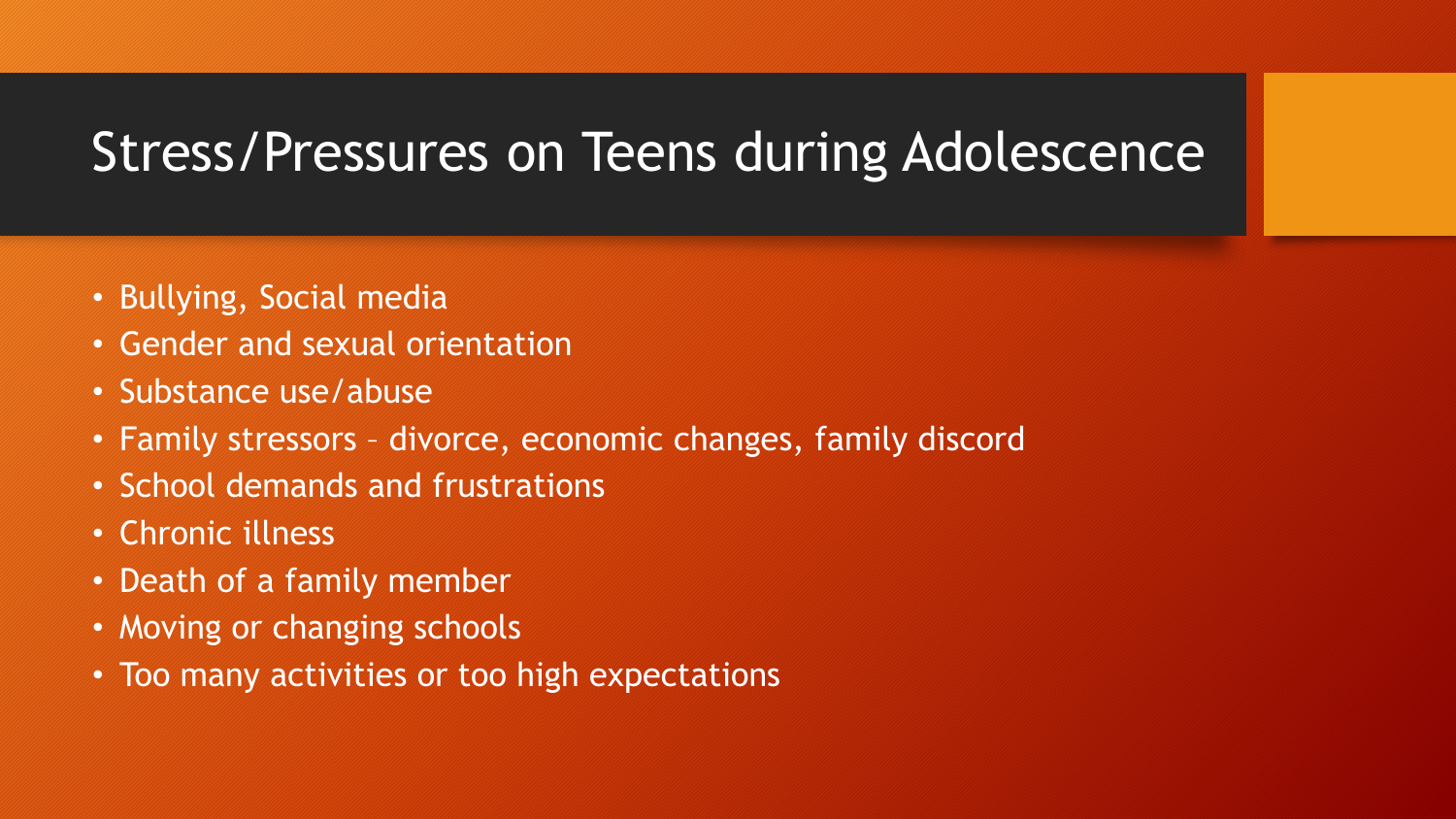#### Stress/Pressures on Teens during Adolescence

- Bullying, Social media
- Gender and sexual orientation
- Substance use/abuse
- Family stressors divorce, economic changes, family discord
- School demands and frustrations
- Chronic illness
- Death of a family member
- Moving or changing schools
- Too many activities or too high expectations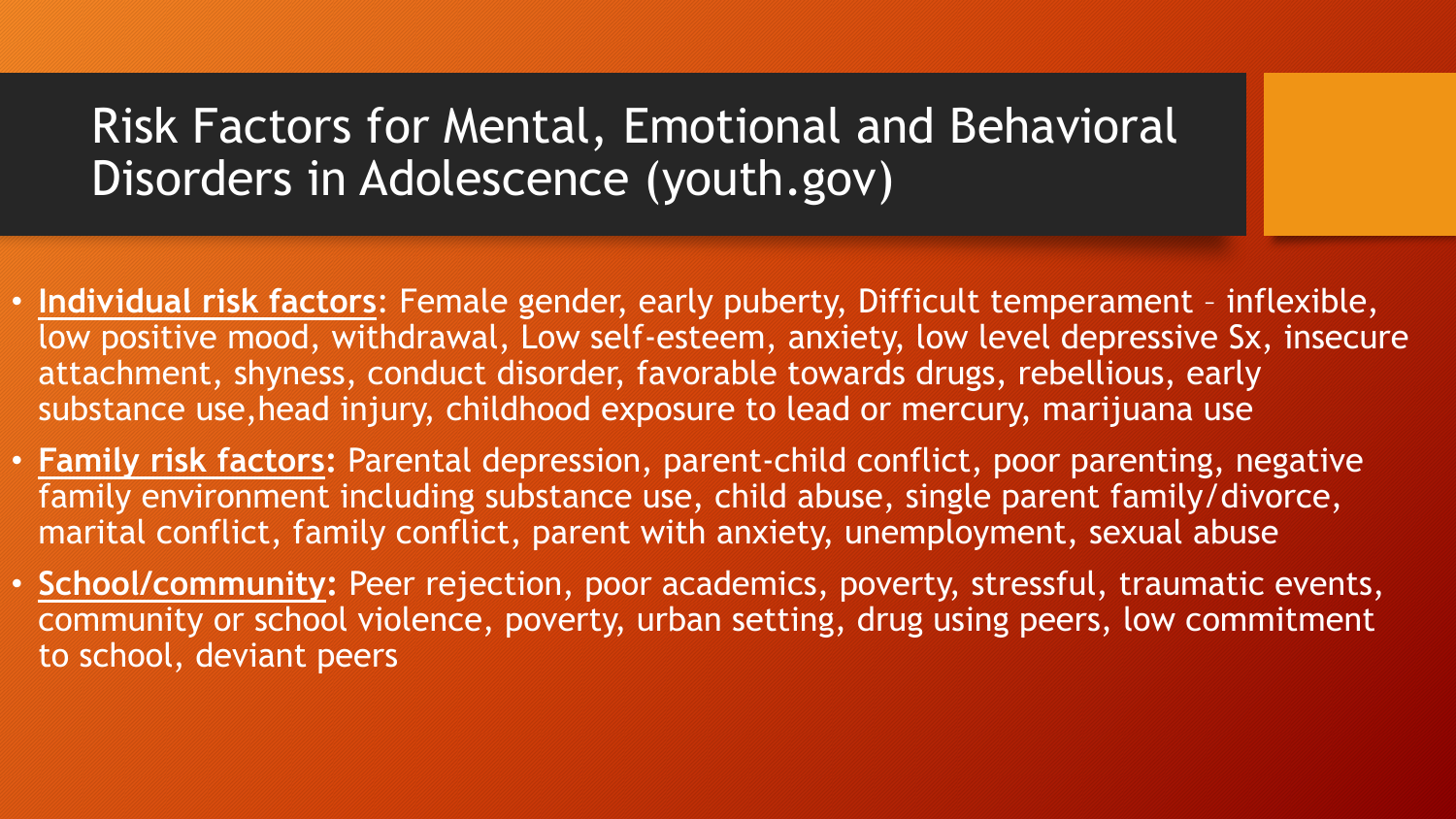#### Risk Factors for Mental, Emotional and Behavioral Disorders in Adolescence (youth.gov)

- **Individual risk factors**: Female gender, early puberty, Difficult temperament inflexible, low positive mood, withdrawal, Low self-esteem, anxiety, low level depressive Sx, insecure attachment, shyness, conduct disorder, favorable towards drugs, rebellious, early substance use,head injury, childhood exposure to lead or mercury, marijuana use
- **Family risk factors:** Parental depression, parent-child conflict, poor parenting, negative family environment including substance use, child abuse, single parent family/divorce, marital conflict, family conflict, parent with anxiety, unemployment, sexual abuse
- **School/community:** Peer rejection, poor academics, poverty, stressful, traumatic events, community or school violence, poverty, urban setting, drug using peers, low commitment to school, deviant peers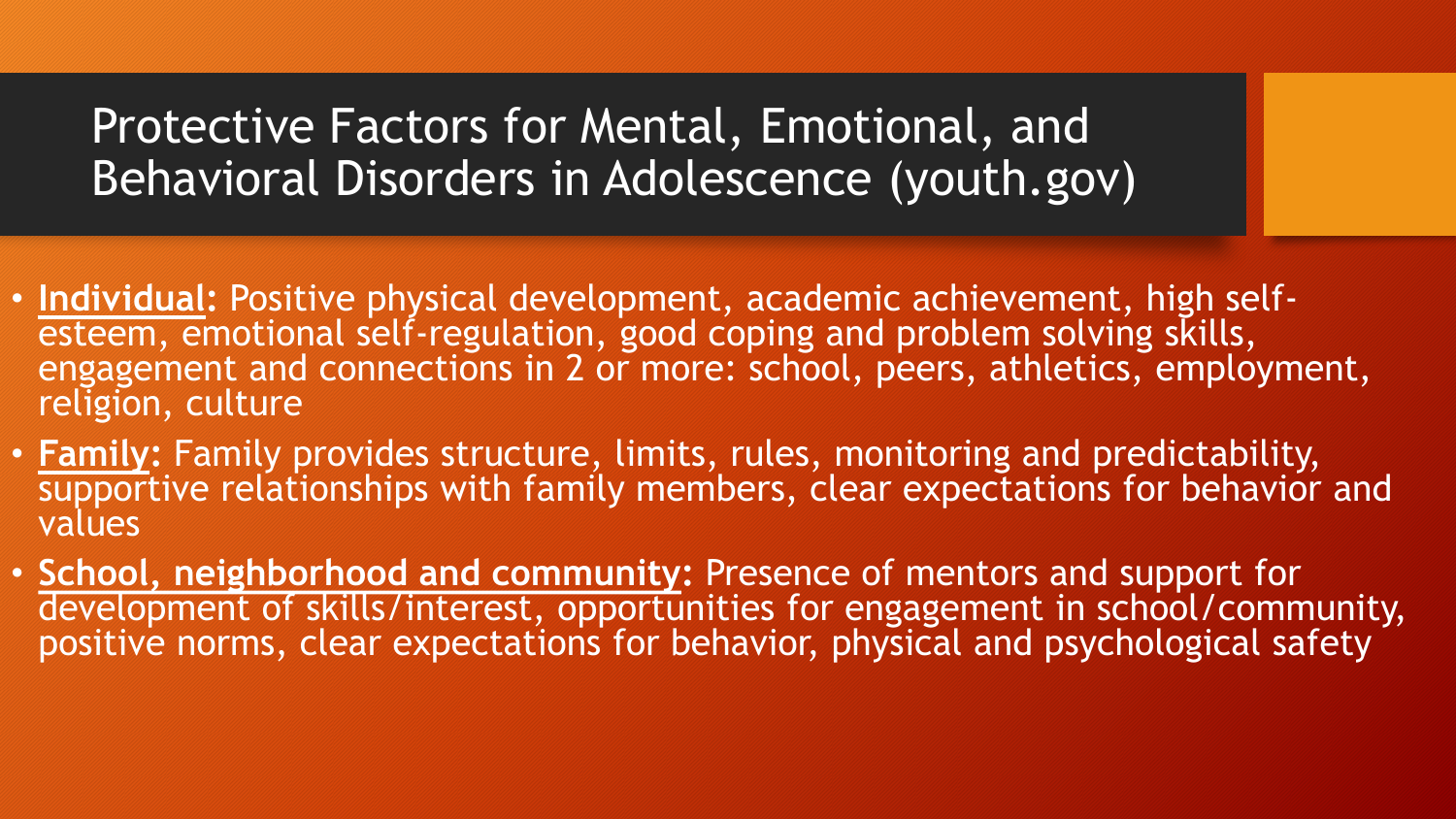#### Protective Factors for Mental, Emotional, and Behavioral Disorders in Adolescence (youth.gov)

- **Individual:** Positive physical development, academic achievement, high selfesteem, emotional self-regulation, good coping and problem solving skills, engagement and connections in 2 or more: school, peers, athletics, employment, religion, culture
- **Family:** Family provides structure, limits, rules, monitoring and predictability, supportive relationships with family members, clear expectations for behavior and values
- **School, neighborhood and community:** Presence of mentors and support for development of skills/interest, opportunities for engagement in school/community, positive norms, clear expectations for behavior, physical and psychological safety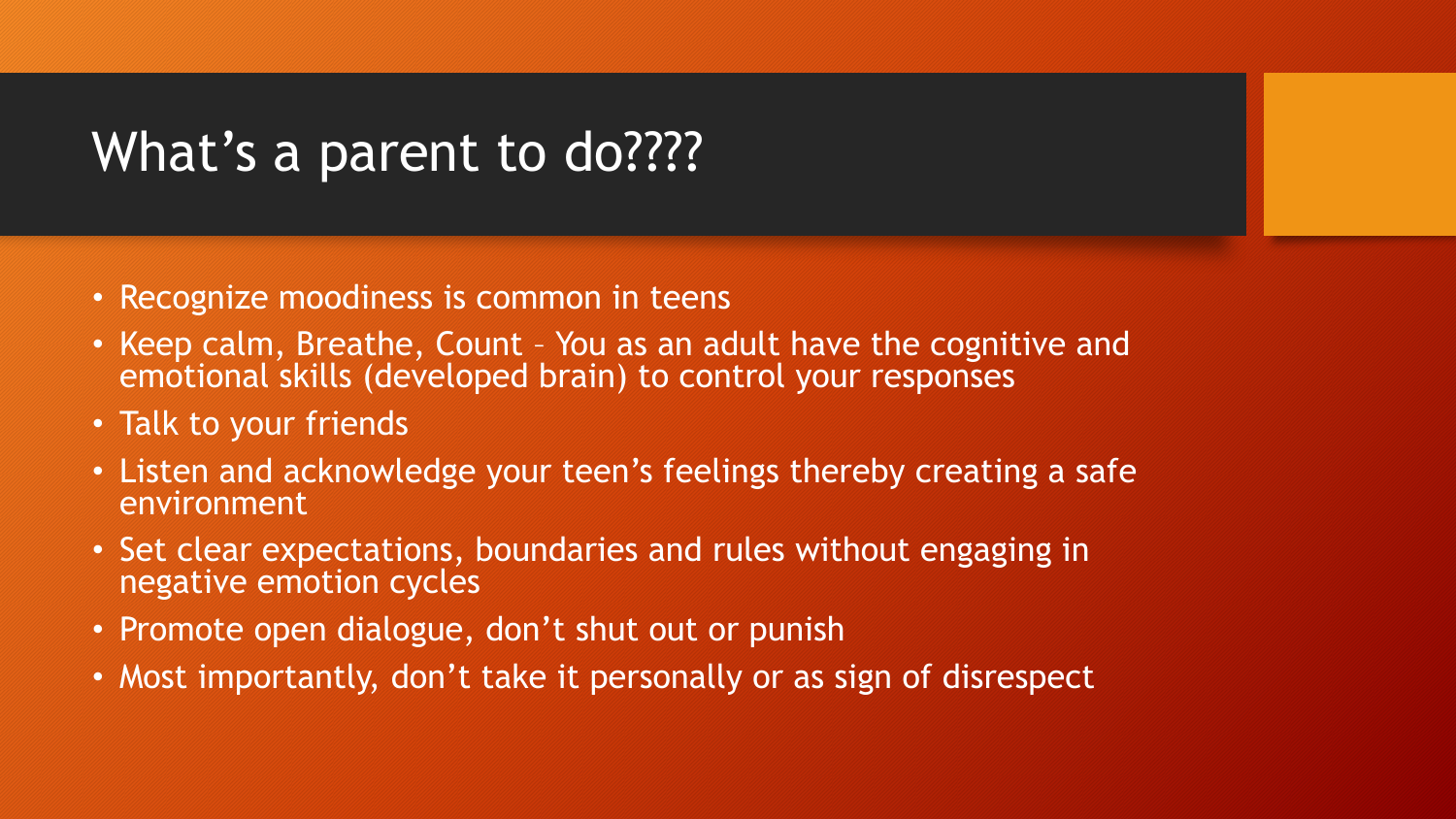## What's a parent to do????

- Recognize moodiness is common in teens
- Keep calm, Breathe, Count You as an adult have the cognitive and emotional skills (developed brain) to control your responses
- Talk to your friends
- Listen and acknowledge your teen's feelings thereby creating a safe environment
- Set clear expectations, boundaries and rules without engaging in negative emotion cycles
- Promote open dialogue, don't shut out or punish
- Most importantly, don't take it personally or as sign of disrespect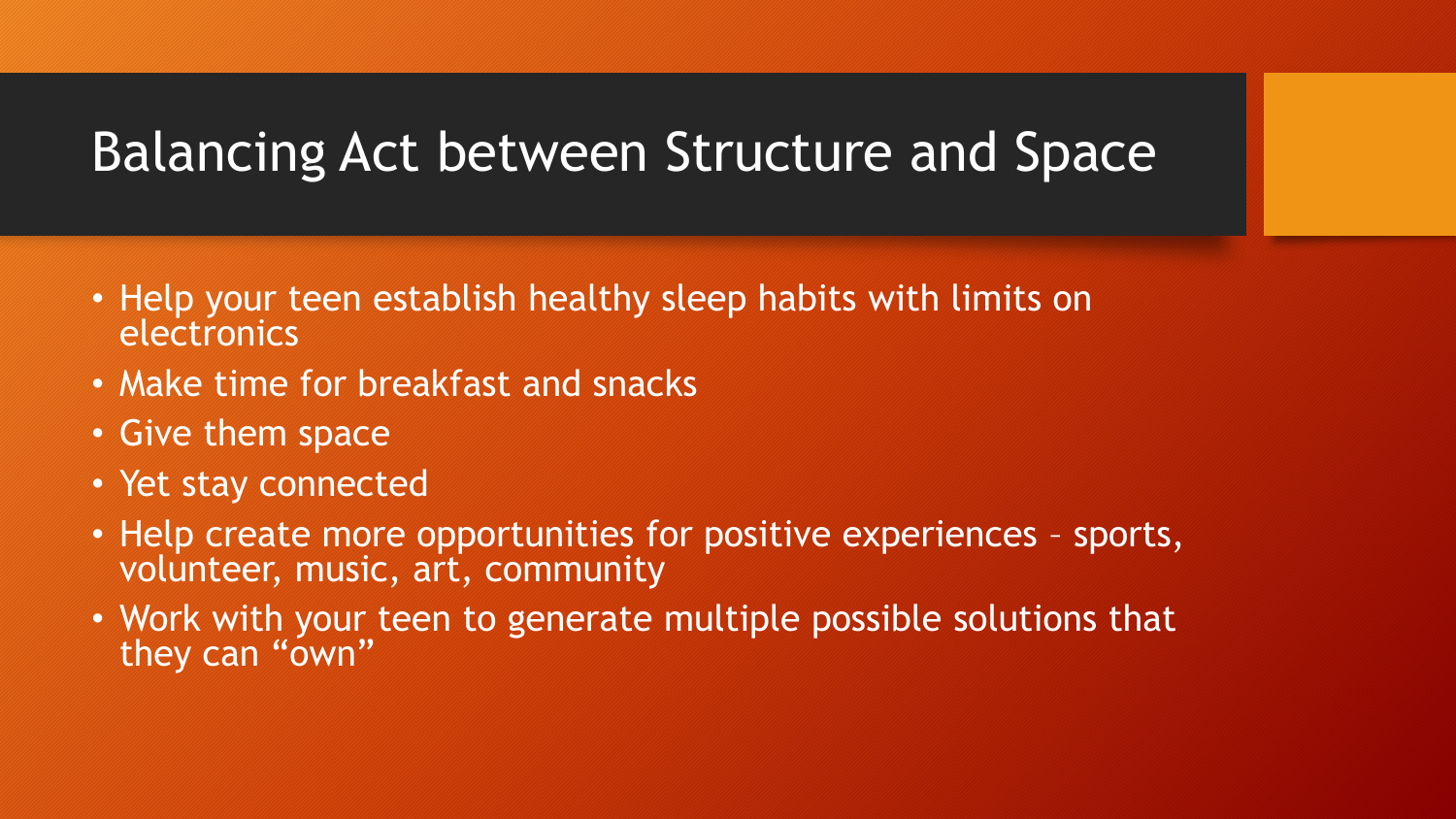### Balancing Act between Structure and Space

- Help your teen establish healthy sleep habits with limits on electronics
- Make time for breakfast and snacks
- Give them space
- Yet stay connected
- Help create more opportunities for positive experiences sports, volunteer, music, art, community
- Work with your teen to generate multiple possible solutions that they can "own"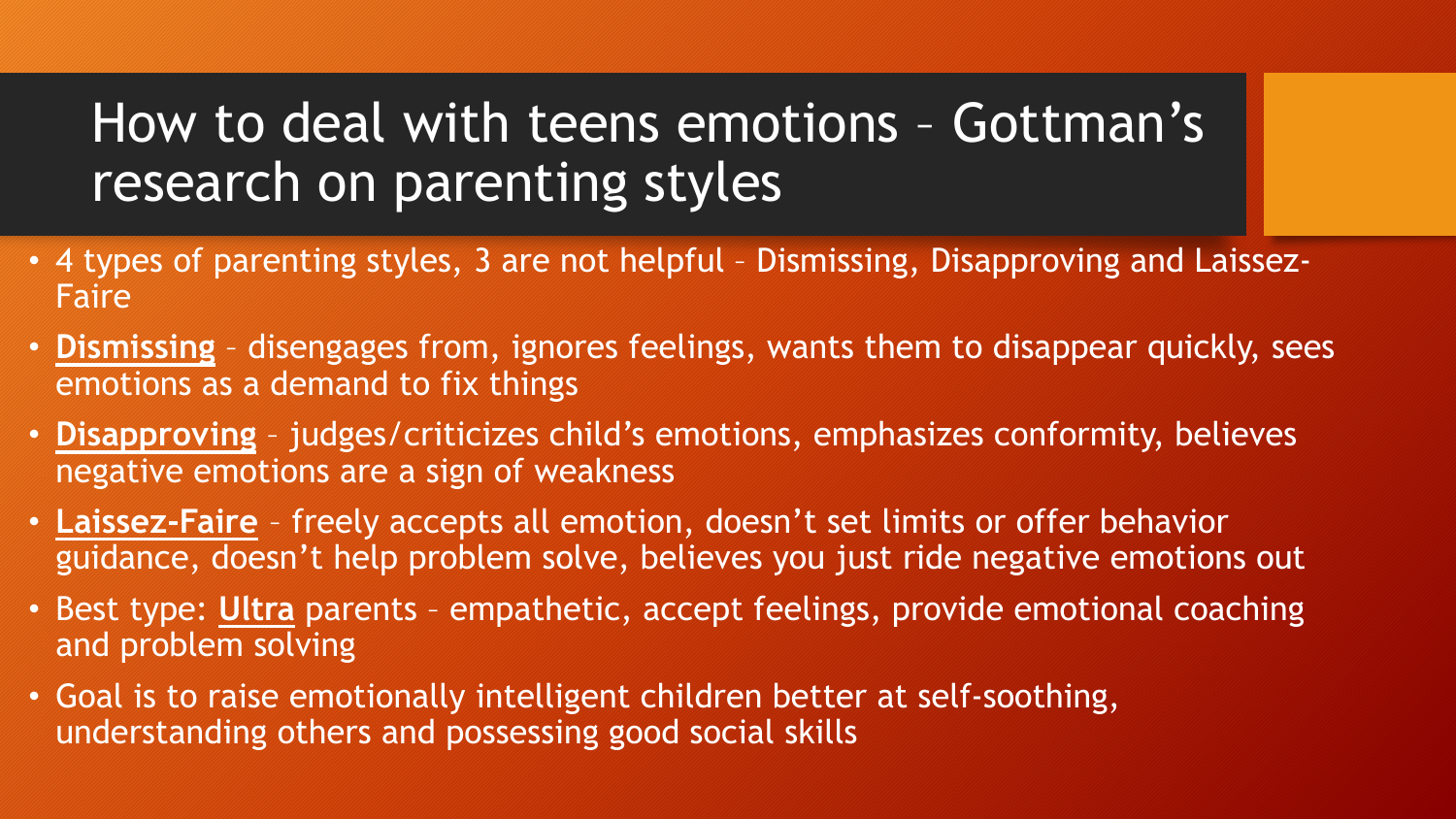# How to deal with teens emotions – Gottman's research on parenting styles

- 4 types of parenting styles, 3 are not helpful Dismissing, Disapproving and Laissez-Faire
- **Dismissing** disengages from, ignores feelings, wants them to disappear quickly, sees emotions as a demand to fix things
- **Disapproving** judges/criticizes child's emotions, emphasizes conformity, believes negative emotions are a sign of weakness
- **Laissez-Faire** freely accepts all emotion, doesn't set limits or offer behavior guidance, doesn't help problem solve, believes you just ride negative emotions out
- Best type: **Ultra** parents empathetic, accept feelings, provide emotional coaching and problem solving
- Goal is to raise emotionally intelligent children better at self-soothing, understanding others and possessing good social skills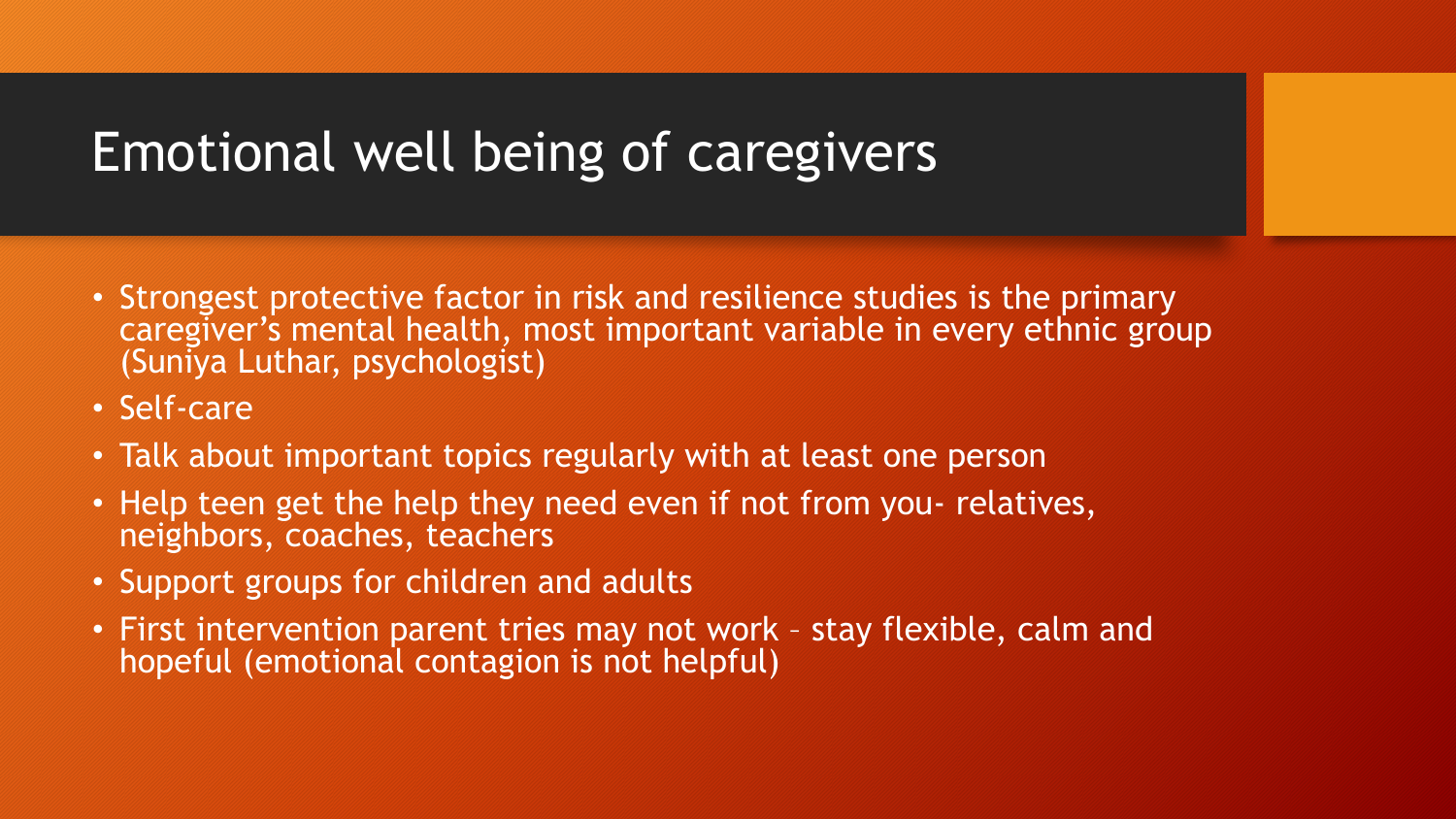### Emotional well being of caregivers

- Strongest protective factor in risk and resilience studies is the primary caregiver's mental health, most important variable in every ethnic group (Suniya Luthar, psychologist)
- Self-care
- Talk about important topics regularly with at least one person
- Help teen get the help they need even if not from you- relatives, neighbors, coaches, teachers
- Support groups for children and adults
- First intervention parent tries may not work stay flexible, calm and hopeful (emotional contagion is not helpful)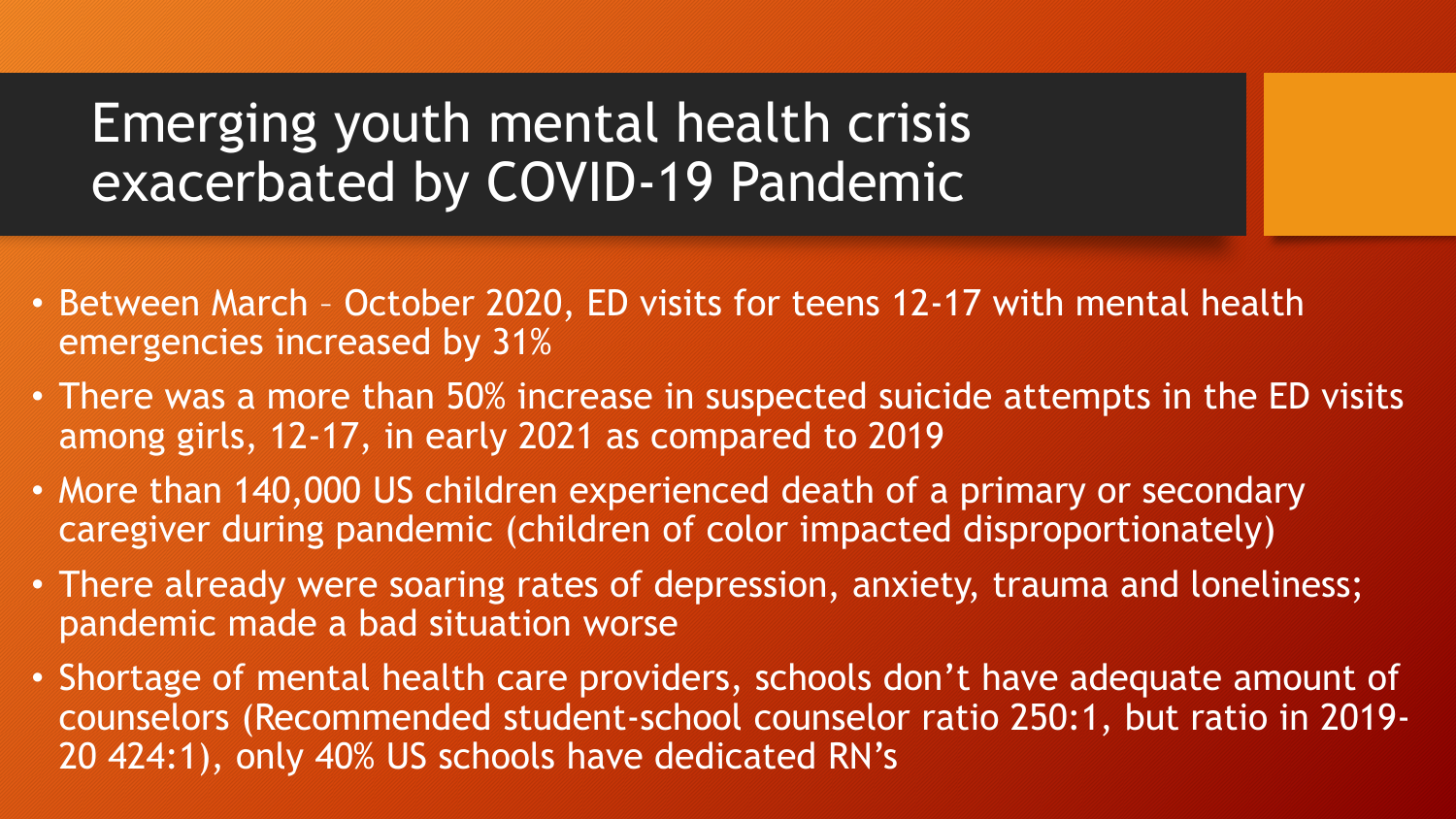### Emerging youth mental health crisis exacerbated by COVID-19 Pandemic

- Between March October 2020, ED visits for teens 12-17 with mental health emergencies increased by 31%
- There was a more than 50% increase in suspected suicide attempts in the ED visits among girls, 12-17, in early 2021 as compared to 2019
- More than 140,000 US children experienced death of a primary or secondary caregiver during pandemic (children of color impacted disproportionately)
- There already were soaring rates of depression, anxiety, trauma and loneliness; pandemic made a bad situation worse
- Shortage of mental health care providers, schools don't have adequate amount of counselors (Recommended student-school counselor ratio 250:1, but ratio in 2019- 20 424:1), only 40% US schools have dedicated RN's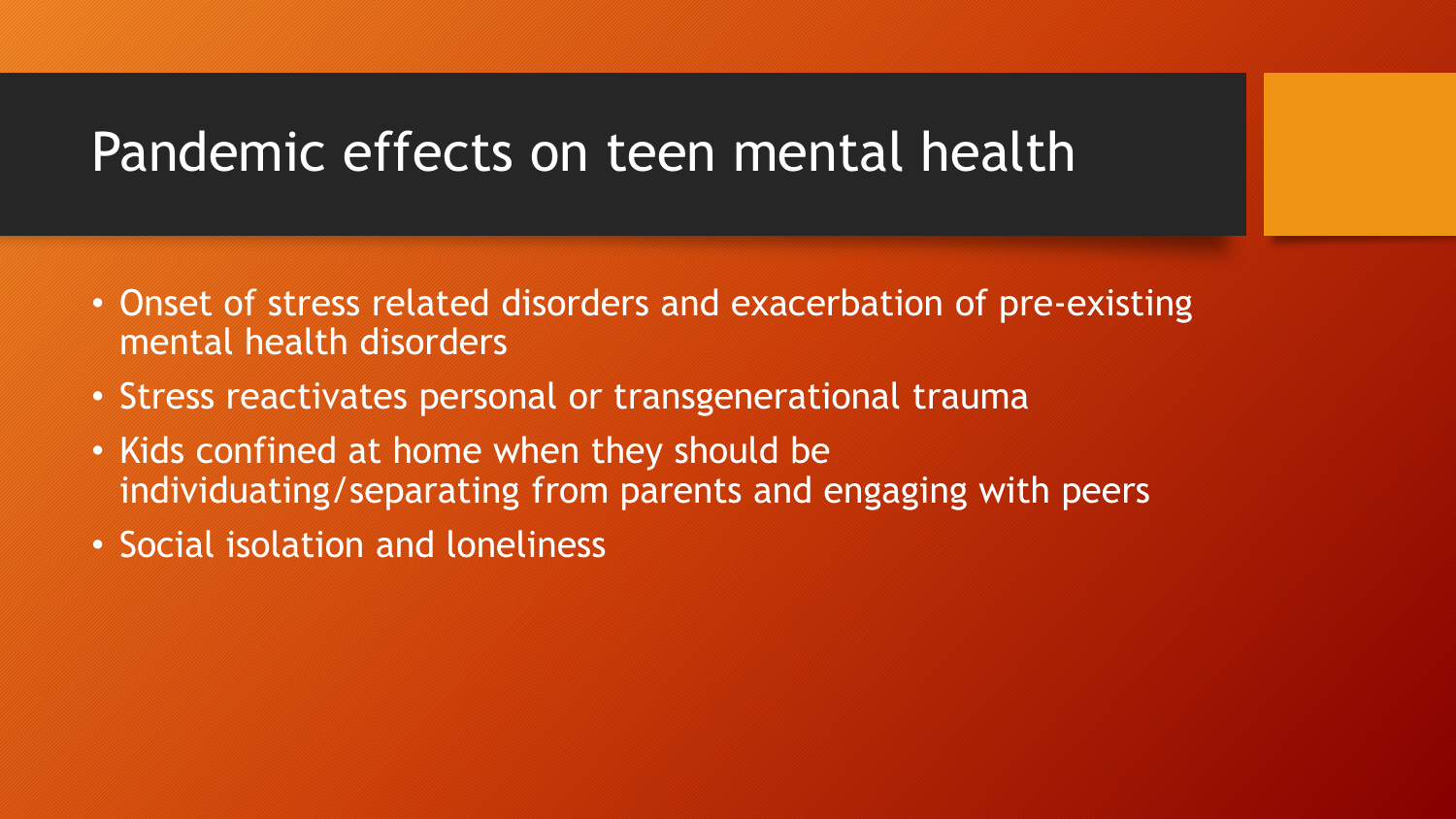#### Pandemic effects on teen mental health

- Onset of stress related disorders and exacerbation of pre-existing mental health disorders
- Stress reactivates personal or transgenerational trauma
- Kids confined at home when they should be individuating/separating from parents and engaging with peers
- Social isolation and loneliness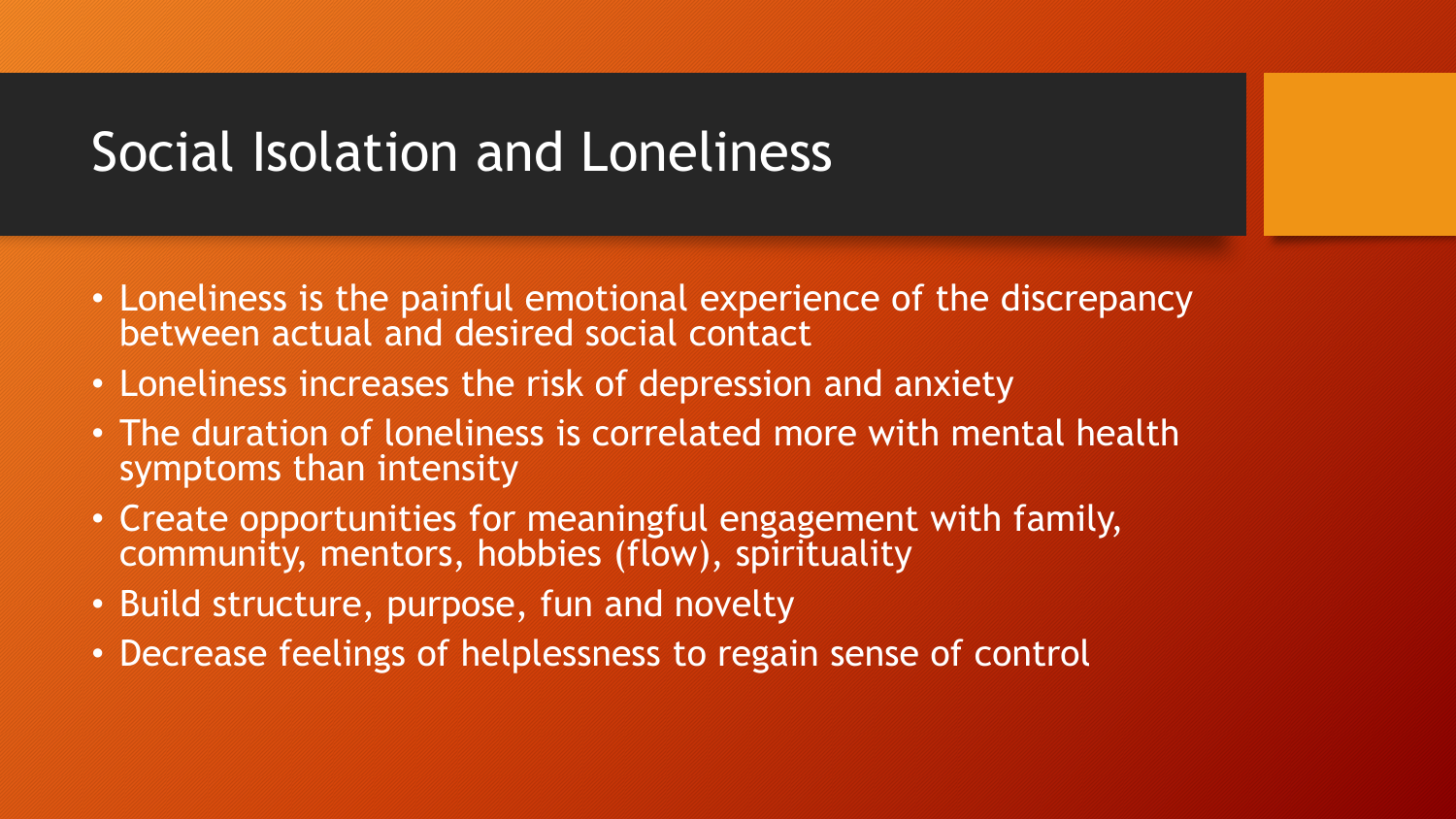### Social Isolation and Loneliness

- Loneliness is the painful emotional experience of the discrepancy between actual and desired social contact
- Loneliness increases the risk of depression and anxiety
- The duration of loneliness is correlated more with mental health symptoms than intensity
- Create opportunities for meaningful engagement with family, community, mentors, hobbies (flow), spirituality
- Build structure, purpose, fun and novelty
- Decrease feelings of helplessness to regain sense of control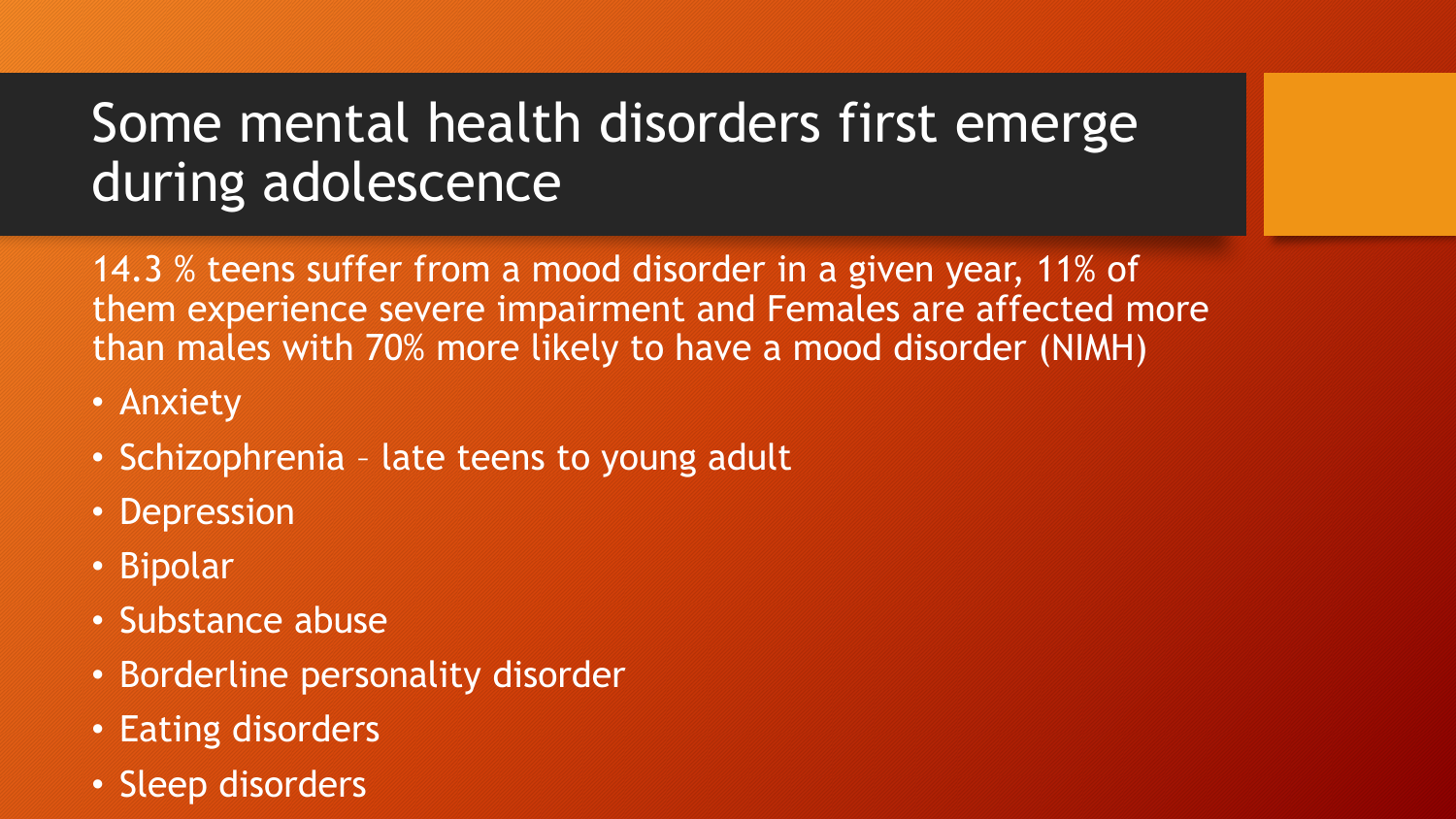# Some mental health disorders first emerge during adolescence

14.3 % teens suffer from a mood disorder in a given year, 11% of them experience severe impairment and Females are affected more than males with 70% more likely to have a mood disorder (NIMH)

- Anxiety
- Schizophrenia late teens to young adult
- Depression
- Bipolar
- Substance abuse
- Borderline personality disorder
- Eating disorders
- Sleep disorders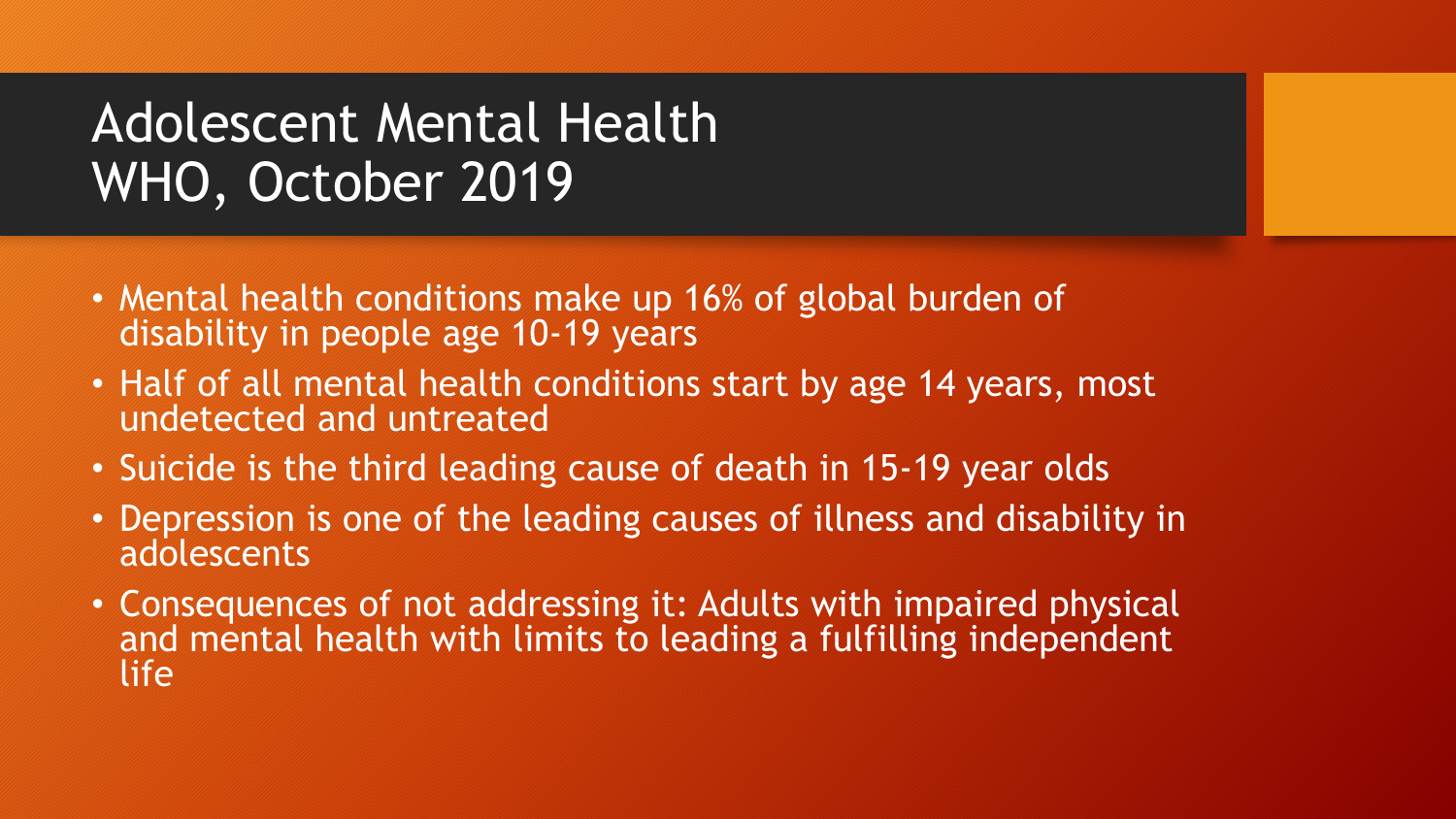# Adolescent Mental Health WHO, October 2019

- Mental health conditions make up 16% of global burden of disability in people age 10-19 years
- Half of all mental health conditions start by age 14 years, most undetected and untreated
- Suicide is the third leading cause of death in 15-19 year olds
- Depression is one of the leading causes of illness and disability in adolescents
- Consequences of not addressing it: Adults with impaired physical and mental health with limits to leading a fulfilling independent life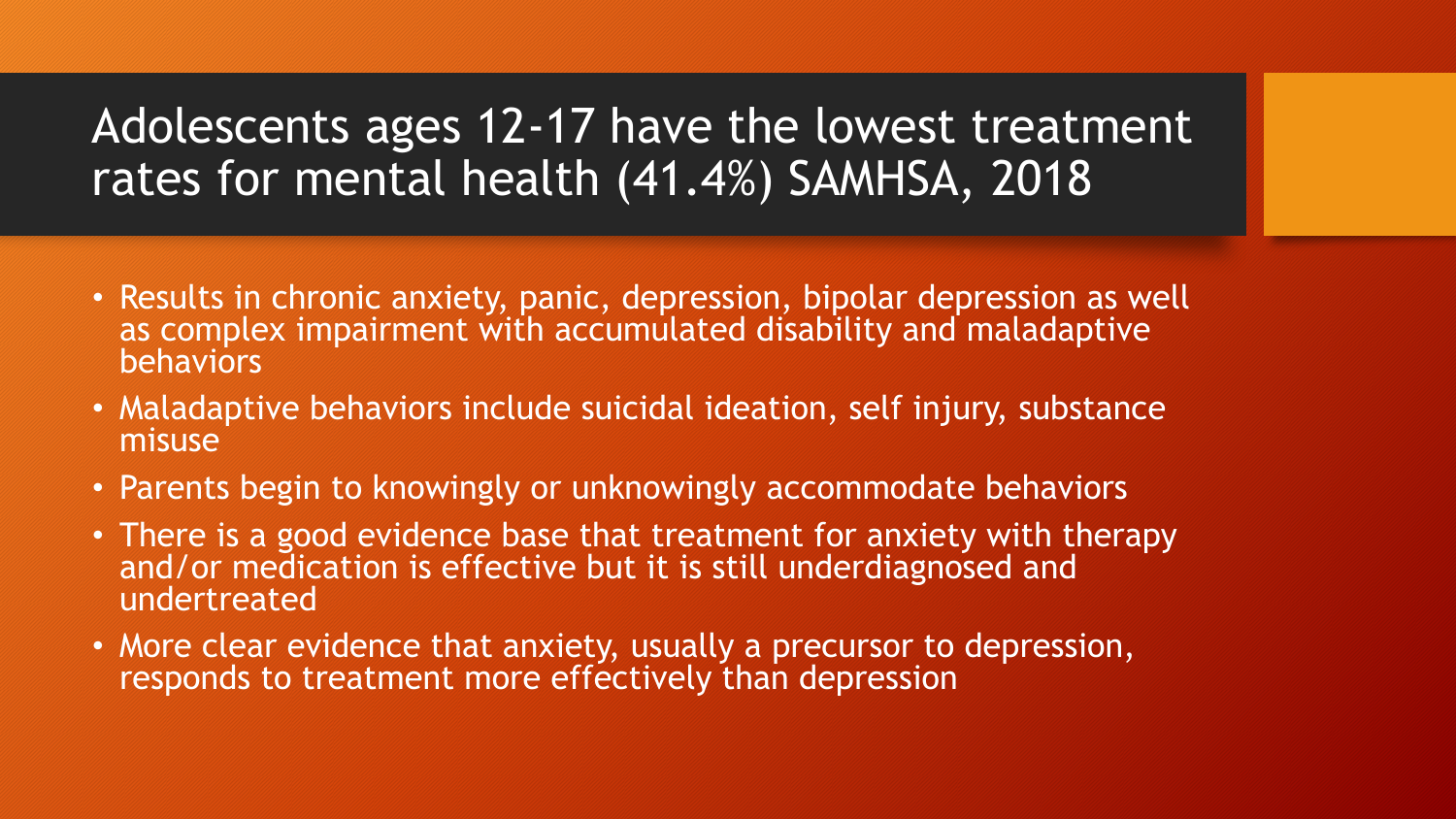#### Adolescents ages 12-17 have the lowest treatment rates for mental health (41.4%) SAMHSA, 2018

- Results in chronic anxiety, panic, depression, bipolar depression as well as complex impairment with accumulated disability and maladaptive behaviors
- Maladaptive behaviors include suicidal ideation, self injury, substance misuse
- Parents begin to knowingly or unknowingly accommodate behaviors
- There is a good evidence base that treatment for anxiety with therapy and/or medication is effective but it is still underdiagnosed and undertreated
- More clear evidence that anxiety, usually a precursor to depression, responds to treatment more effectively than depression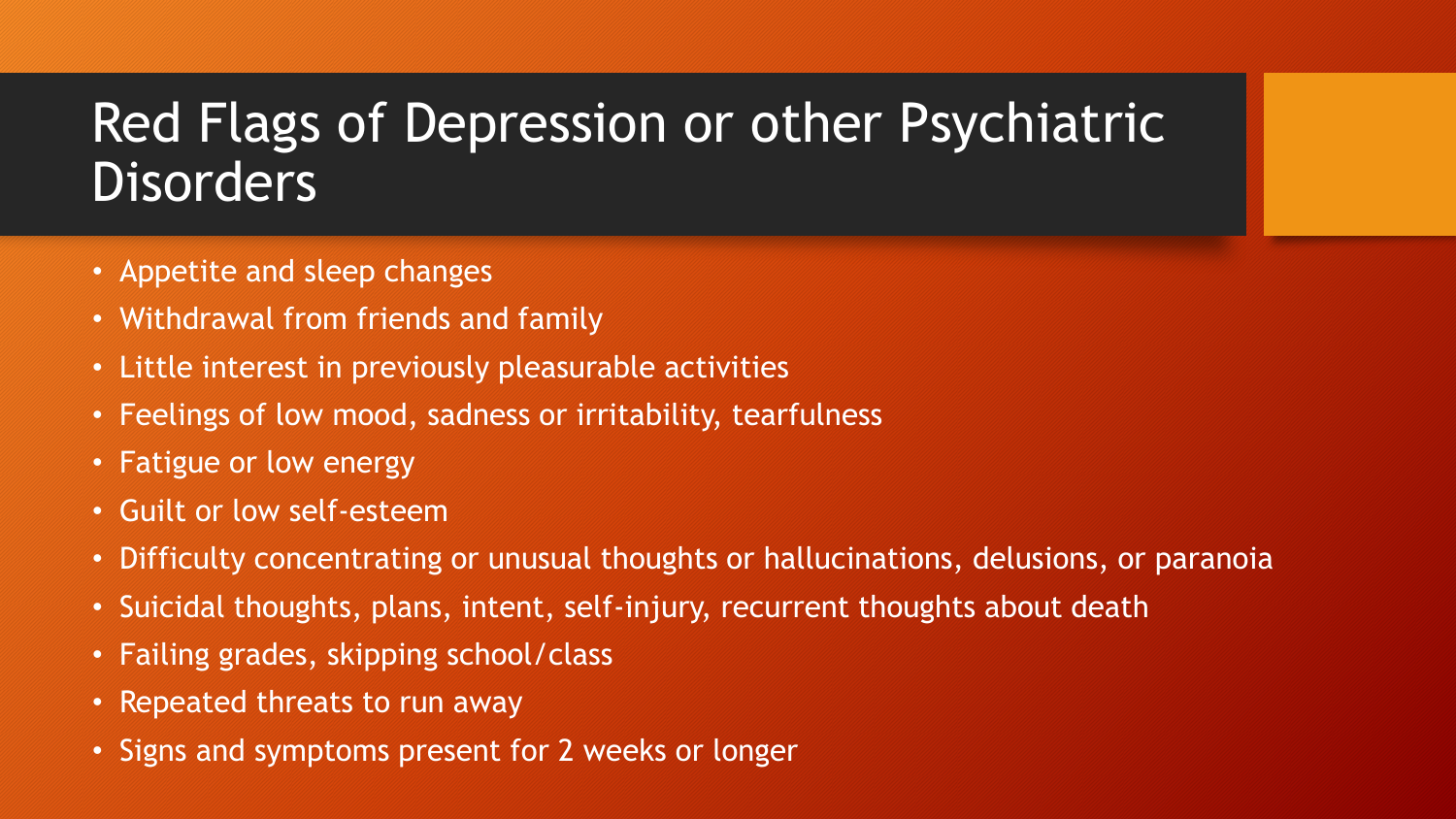# Red Flags of Depression or other Psychiatric **Disorders**

- Appetite and sleep changes
- Withdrawal from friends and family
- Little interest in previously pleasurable activities
- Feelings of low mood, sadness or irritability, tearfulness
- Fatigue or low energy
- Guilt or low self-esteem
- Difficulty concentrating or unusual thoughts or hallucinations, delusions, or paranoia
- Suicidal thoughts, plans, intent, self-injury, recurrent thoughts about death
- Failing grades, skipping school/class
- Repeated threats to run away
- Signs and symptoms present for 2 weeks or longer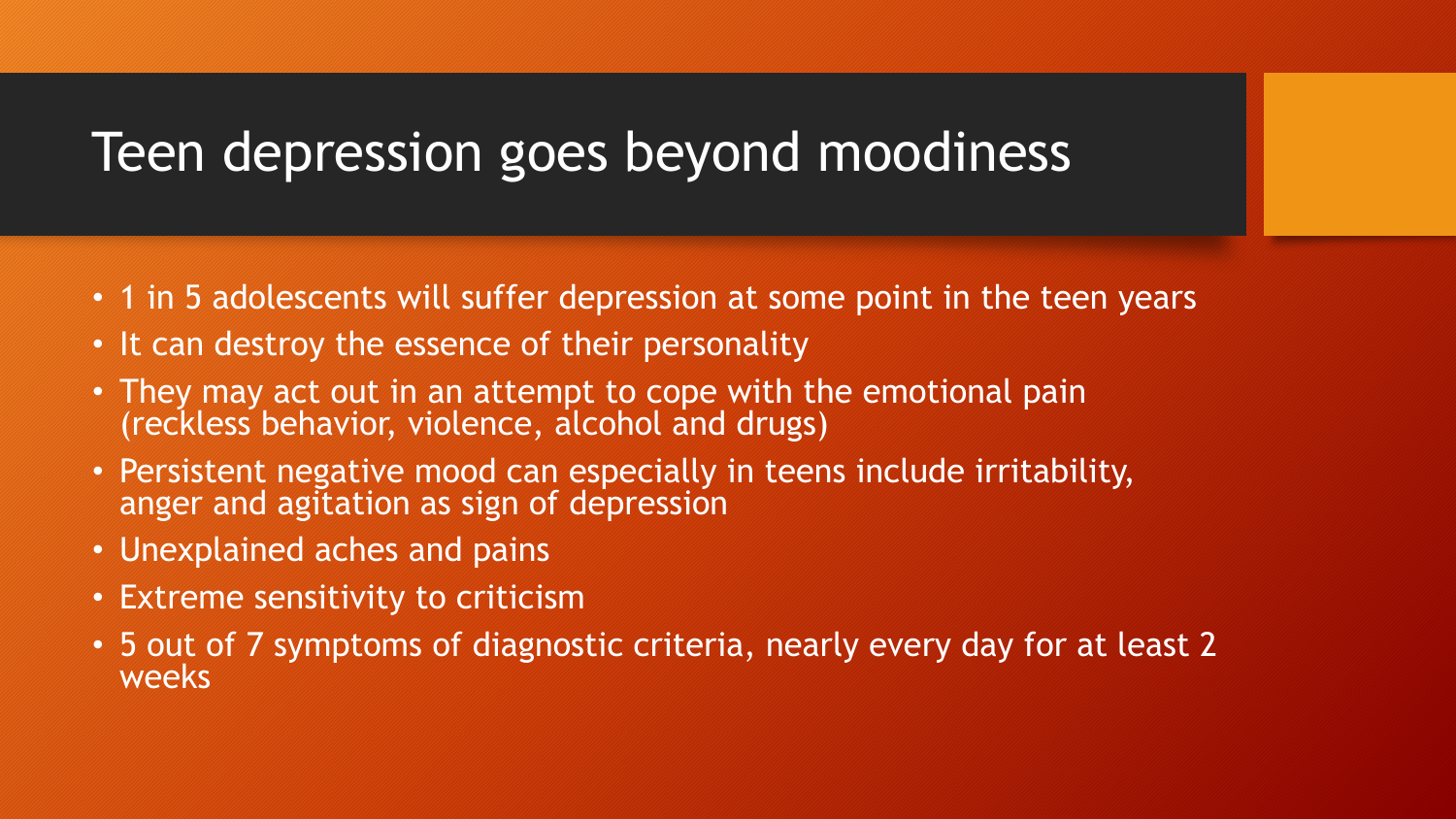#### Teen depression goes beyond moodiness

- 1 in 5 adolescents will suffer depression at some point in the teen years
- It can destroy the essence of their personality
- They may act out in an attempt to cope with the emotional pain (reckless behavior, violence, alcohol and drugs)
- Persistent negative mood can especially in teens include irritability, anger and agitation as sign of depression
- Unexplained aches and pains
- Extreme sensitivity to criticism
- 5 out of 7 symptoms of diagnostic criteria, nearly every day for at least 2 weeks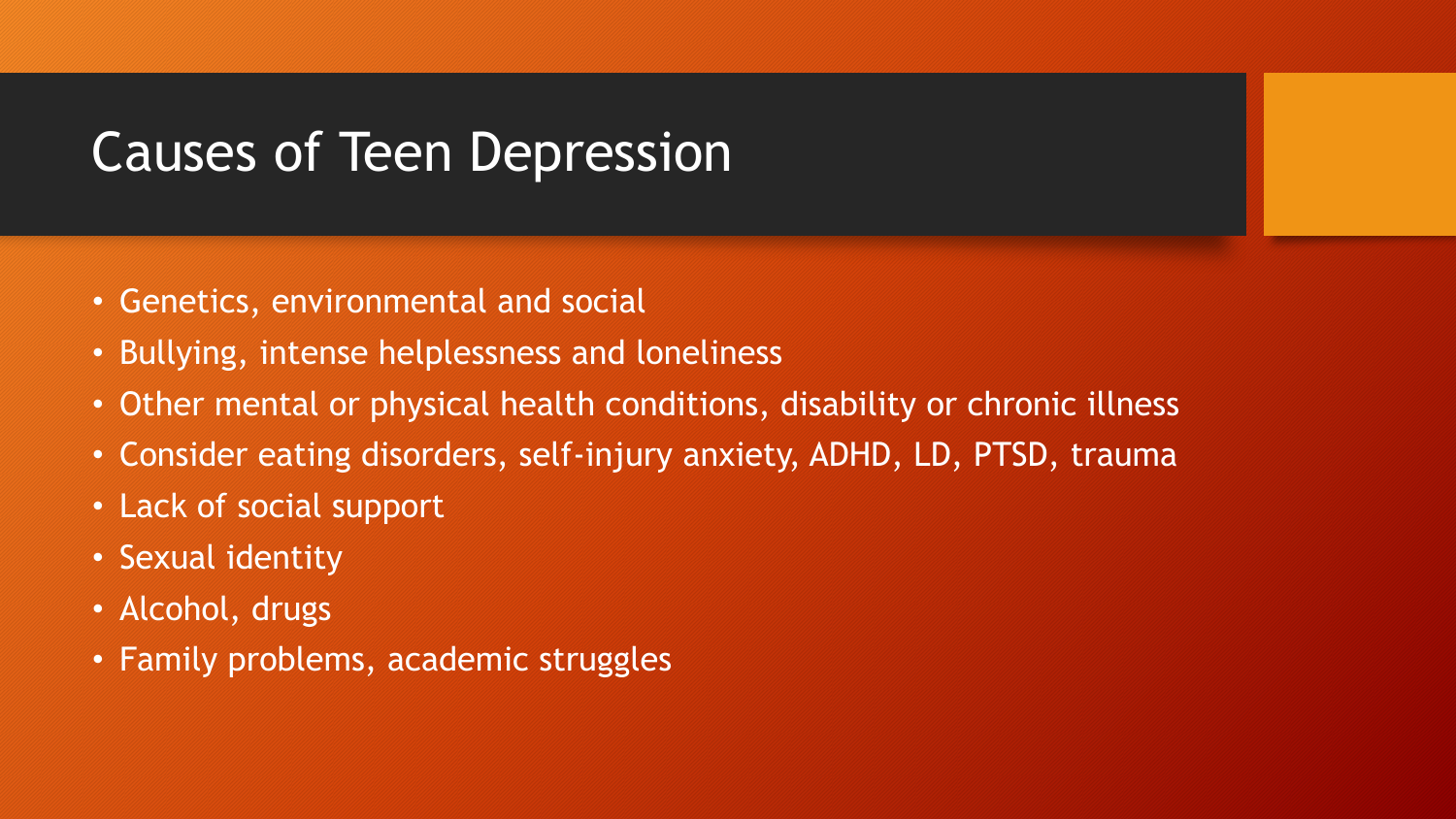### Causes of Teen Depression

- Genetics, environmental and social
- Bullying, intense helplessness and loneliness
- Other mental or physical health conditions, disability or chronic illness
- Consider eating disorders, self-injury anxiety, ADHD, LD, PTSD, trauma
- Lack of social support
- Sexual identity
- Alcohol, drugs
- Family problems, academic struggles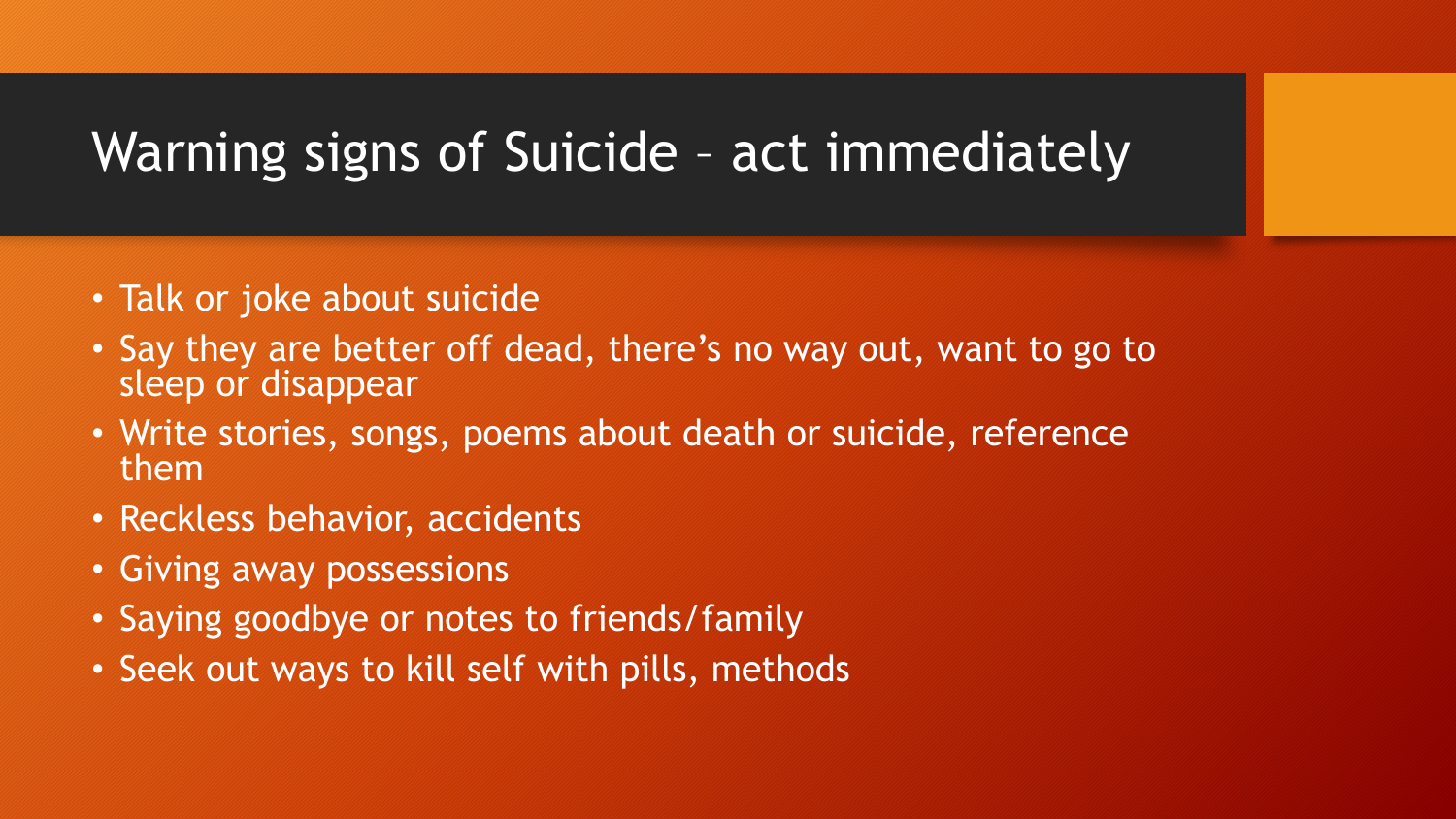## Warning signs of Suicide – act immediately

- Talk or joke about suicide
- Say they are better off dead, there's no way out, want to go to sleep or disappear
- Write stories, songs, poems about death or suicide, reference them
- Reckless behavior, accidents
- Giving away possessions
- Saying goodbye or notes to friends/family
- Seek out ways to kill self with pills, methods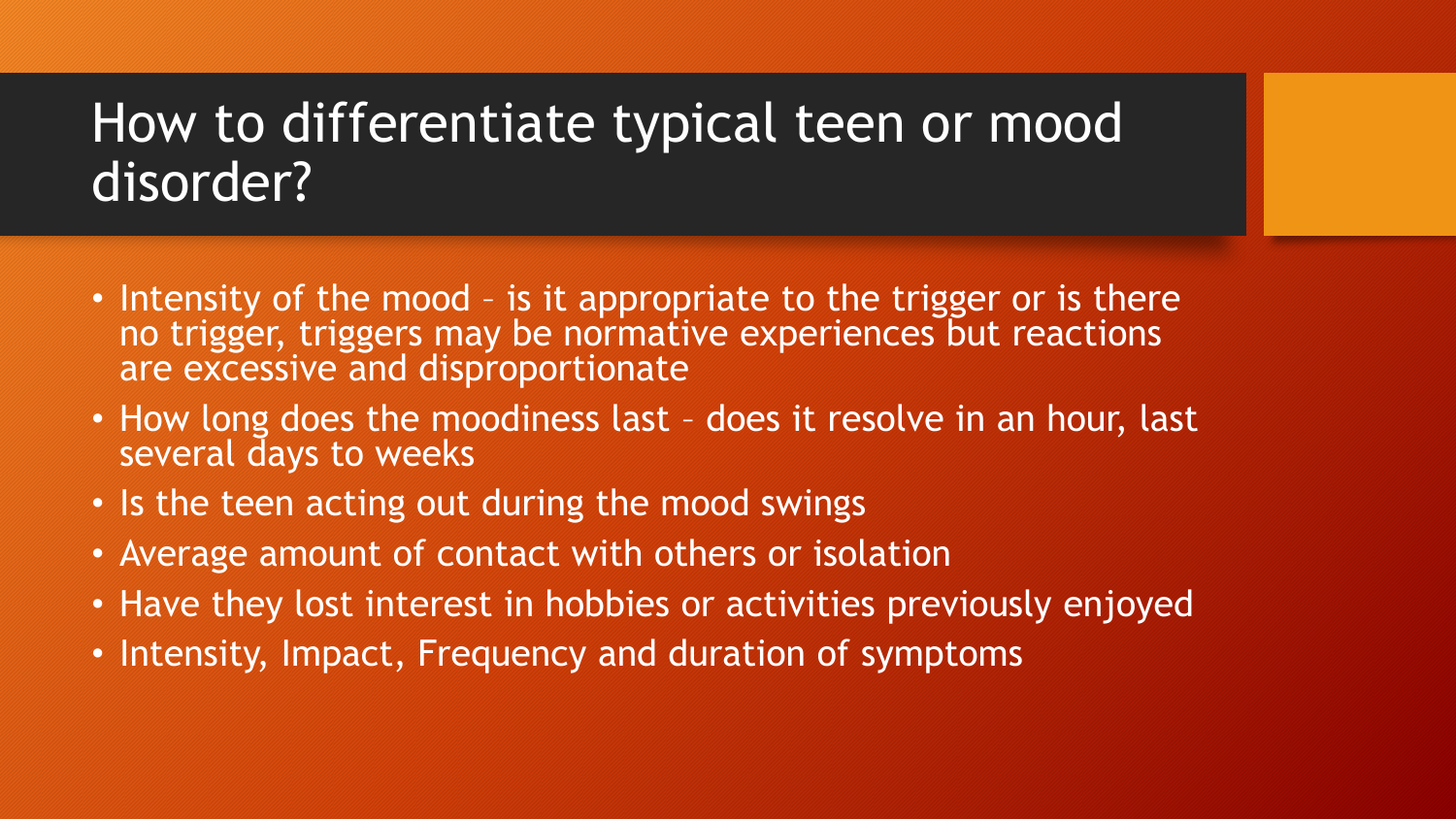### How to differentiate typical teen or mood disorder?

- Intensity of the mood is it appropriate to the trigger or is there no trigger, triggers may be normative experiences but reactions are excessive and disproportionate
- How long does the moodiness last does it resolve in an hour, last several days to weeks
- Is the teen acting out during the mood swings
- Average amount of contact with others or isolation
- Have they lost interest in hobbies or activities previously enjoyed
- Intensity, Impact, Frequency and duration of symptoms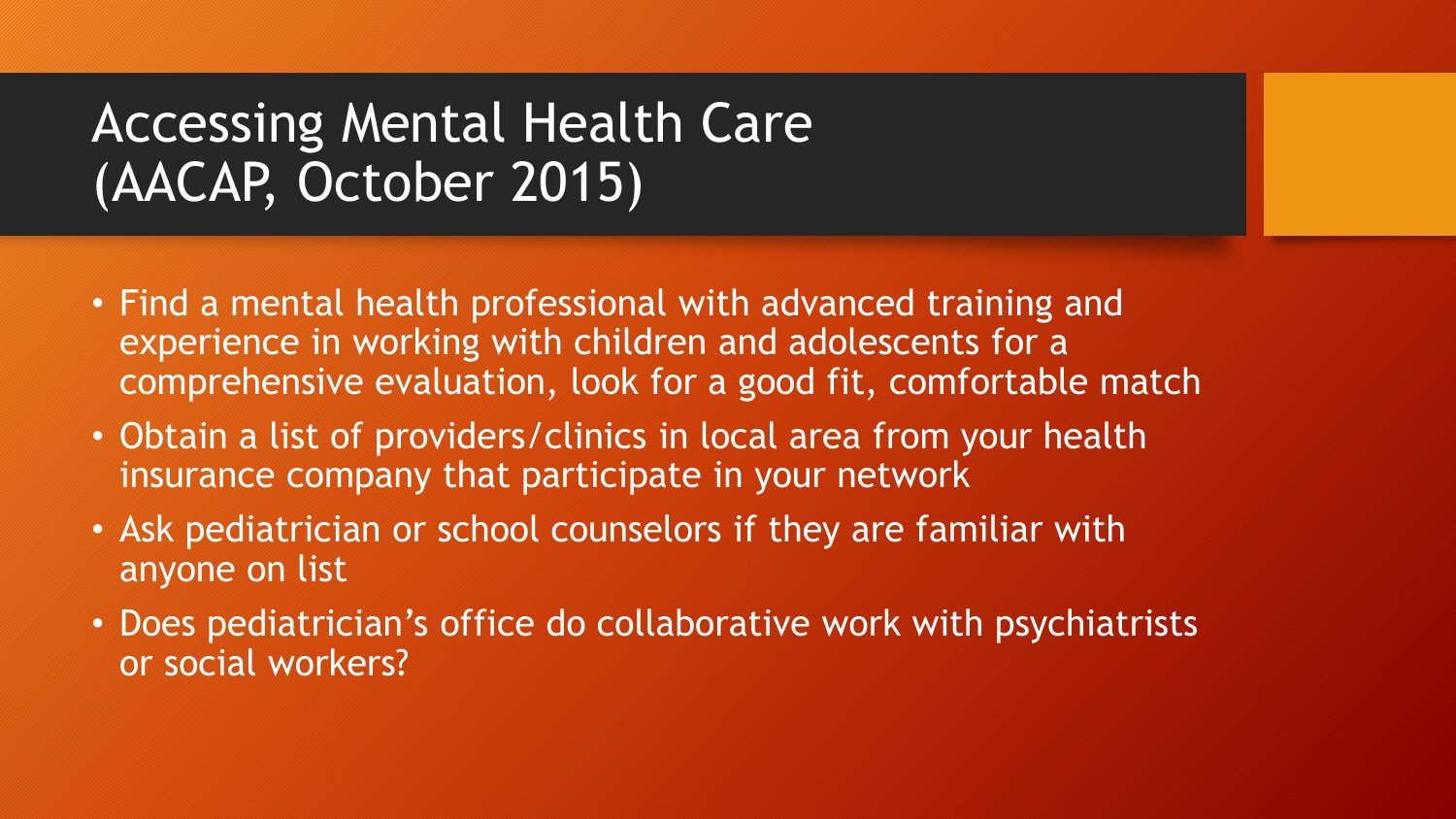# Accessing Mental Health Care (AACAP, October 2015)

- Find a mental health professional with advanced training and experience in working with children and adolescents for a comprehensive evaluation, look for a good fit, comfortable match
- Obtain a list of providers/clinics in local area from your health insurance company that participate in your network
- Ask pediatrician or school counselors if they are familiar with anyone on list
- Does pediatrician's office do collaborative work with psychiatrists or social workers?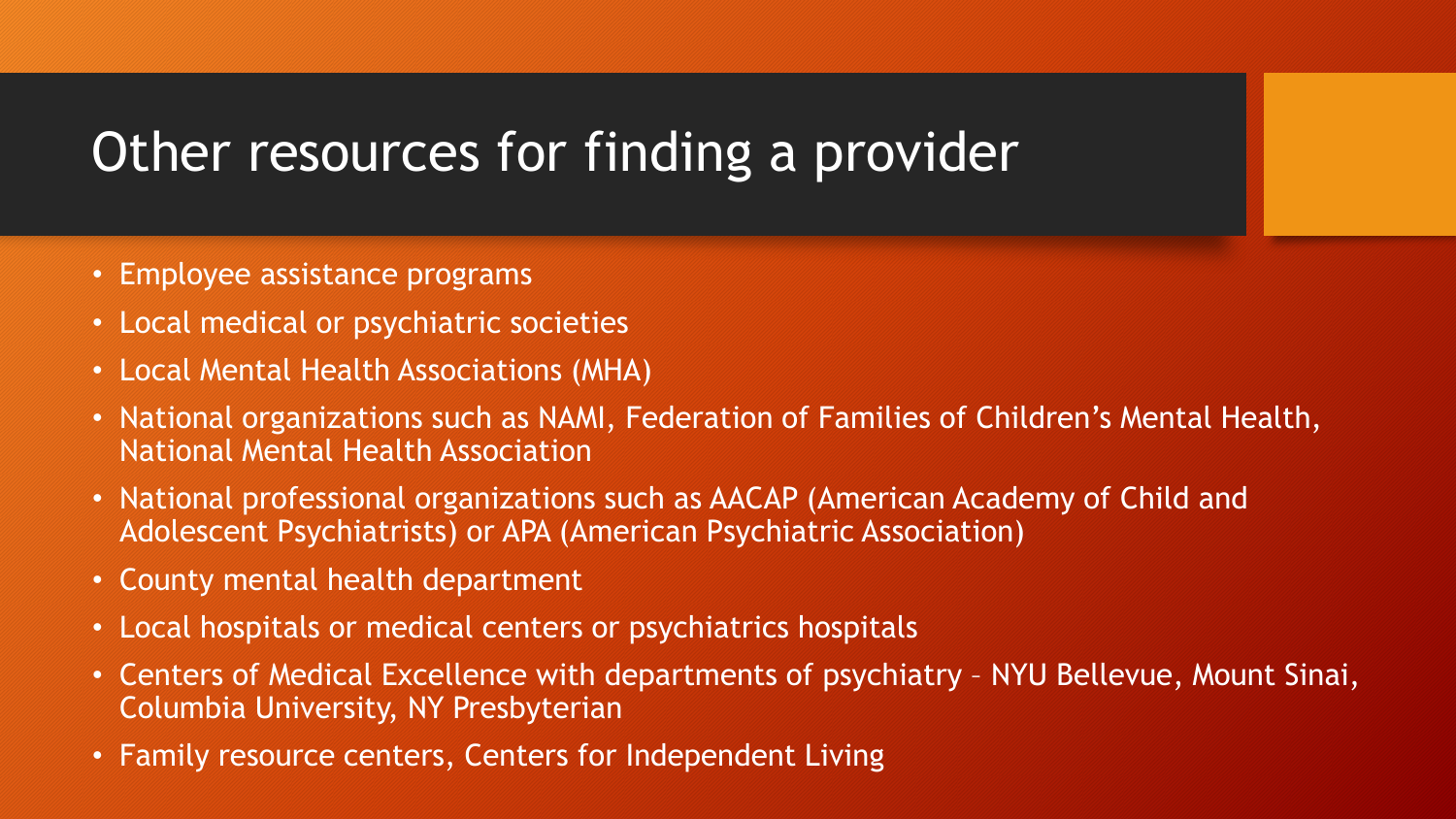# Other resources for finding a provider

- Employee assistance programs
- Local medical or psychiatric societies
- Local Mental Health Associations (MHA)
- National organizations such as NAMI, Federation of Families of Children's Mental Health, National Mental Health Association
- National professional organizations such as AACAP (American Academy of Child and Adolescent Psychiatrists) or APA (American Psychiatric Association)
- County mental health department
- Local hospitals or medical centers or psychiatrics hospitals
- Centers of Medical Excellence with departments of psychiatry NYU Bellevue, Mount Sinai, Columbia University, NY Presbyterian
- Family resource centers, Centers for Independent Living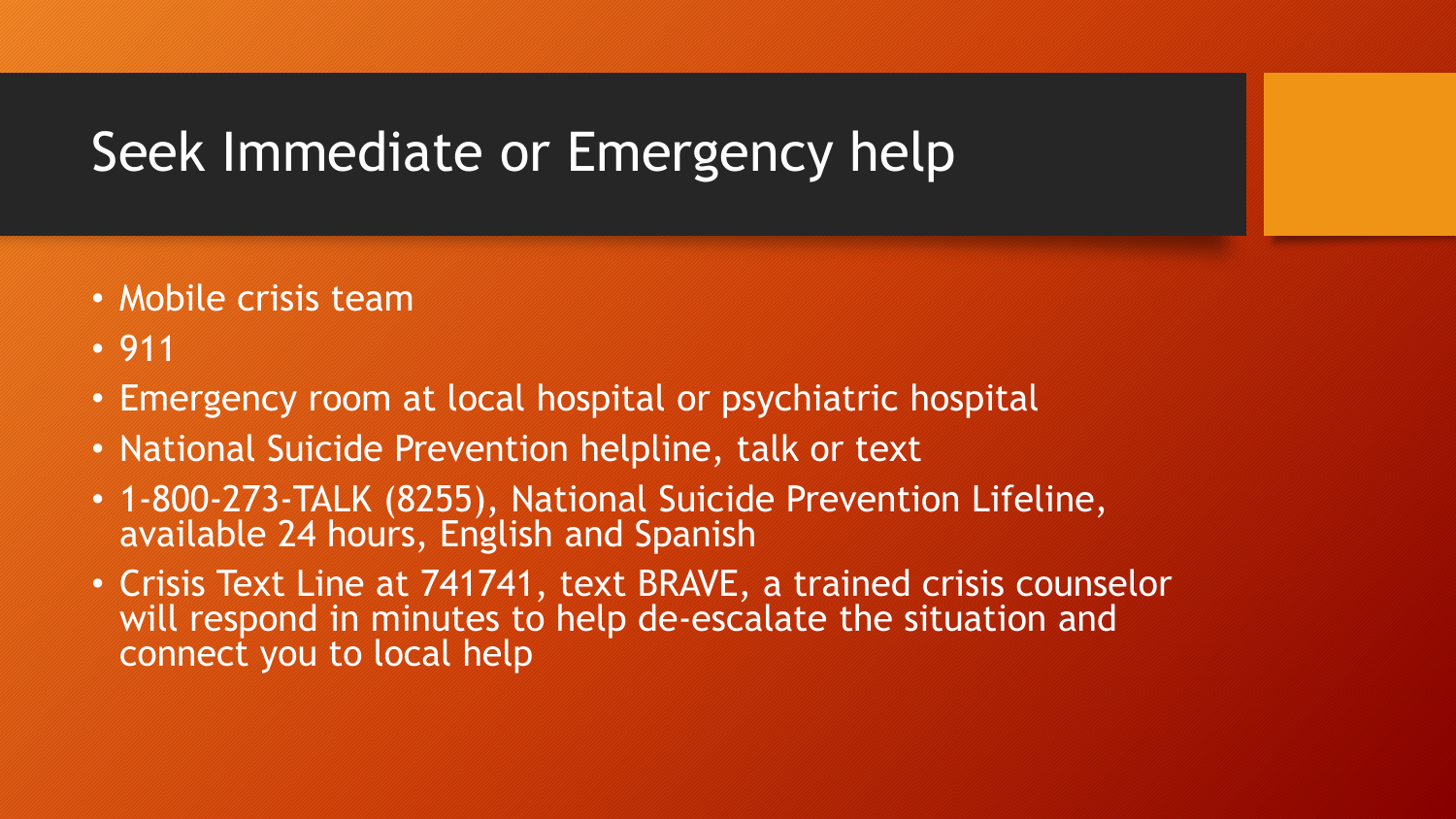# Seek Immediate or Emergency help

- Mobile crisis team
- 911
- Emergency room at local hospital or psychiatric hospital
- National Suicide Prevention helpline, talk or text
- 1-800-273-TALK (8255), National Suicide Prevention Lifeline, available 24 hours, English and Spanish
- Crisis Text Line at 741741, text BRAVE, a trained crisis counselor will respond in minutes to help de-escalate the situation and connect you to local help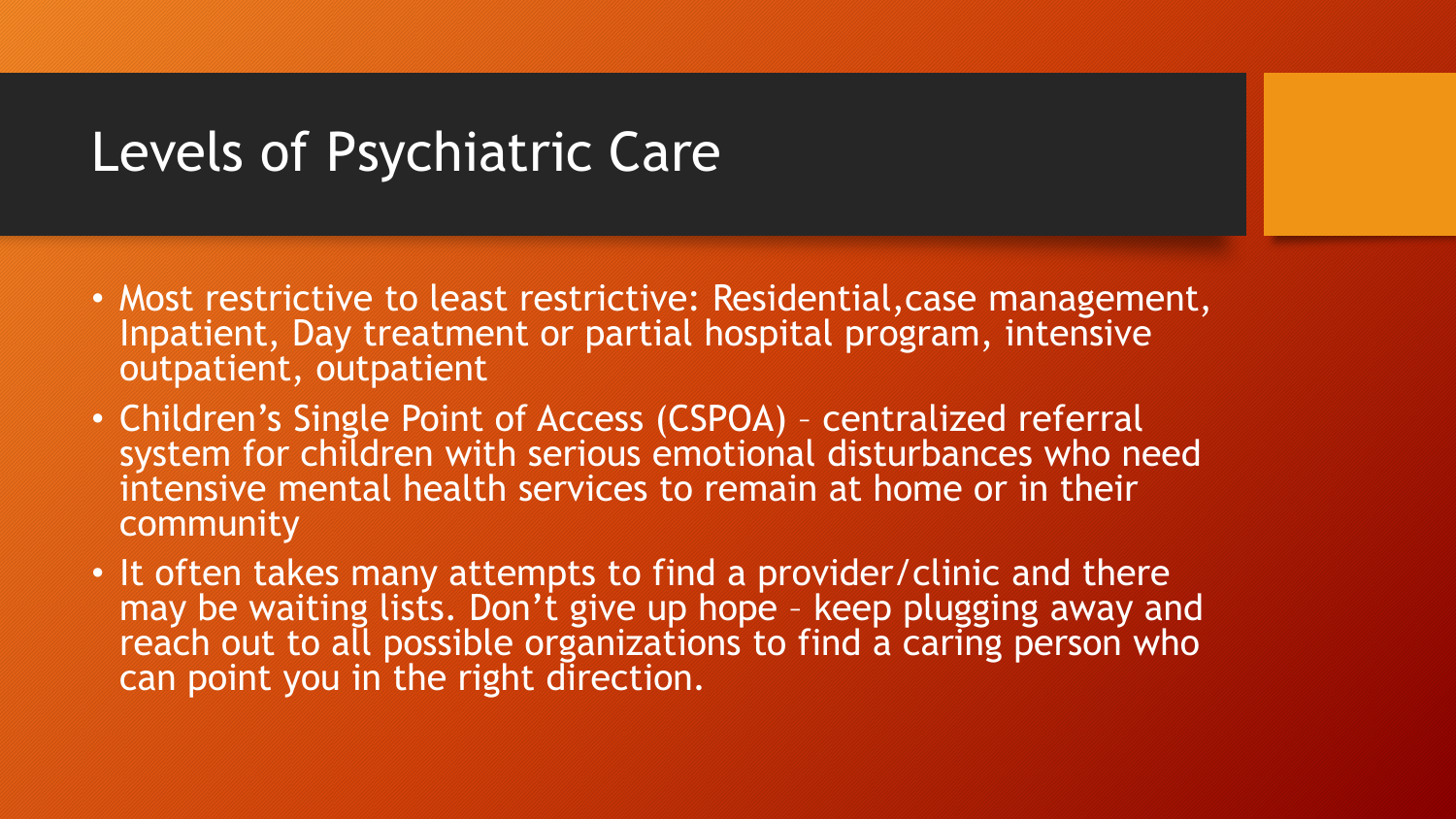#### Levels of Psychiatric Care

- Most restrictive to least restrictive: Residential,case management, Inpatient, Day treatment or partial hospital program, intensive outpatient, outpatient
- Children's Single Point of Access (CSPOA) centralized referral system for children with serious emotional disturbances who need intensive mental health services to remain at home or in their community
- It often takes many attempts to find a provider/clinic and there may be waiting lists. Don't give up hope – keep plugging away and reach out to all possible organizations to find a caring person who can point you in the right direction.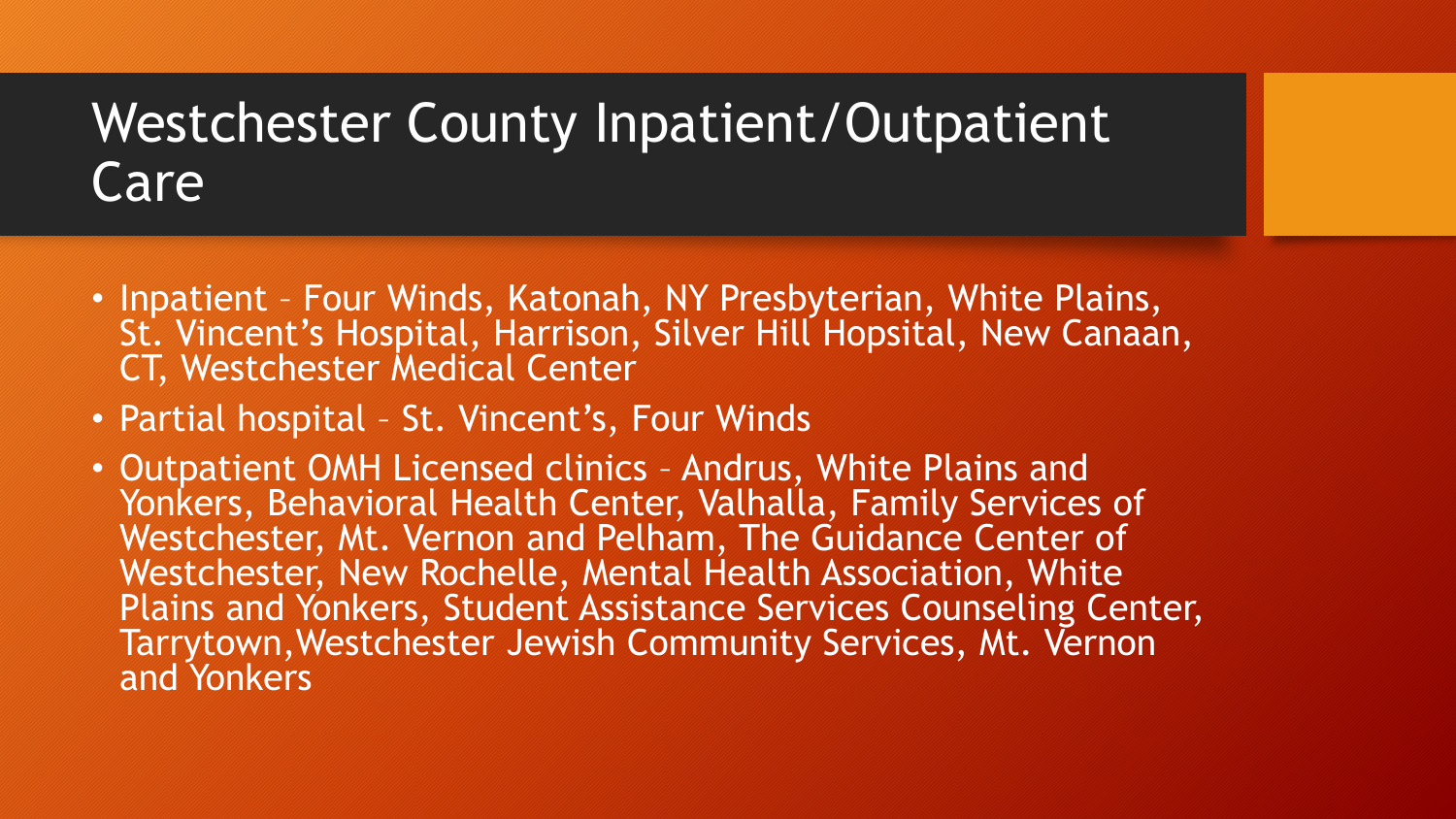#### Westchester County Inpatient/Outpatient Care

- Inpatient Four Winds, Katonah, NY Presbyterian, White Plains, St. Vincent's Hospital, Harrison, Silver Hill Hopsital, New Canaan, CT, Westchester Medical Center
- Partial hospital St. Vincent's, Four Winds
- Outpatient OMH Licensed clinics Andrus, White Plains and Yonkers, Behavioral Health Center, Valhalla, Family Services of Westchester, Mt. Vernon and Pelham, The Guidance Center of Westchester, New Rochelle, Mental Health Association, White Plains and Yonkers, Student Assistance Services Counseling Center, Tarrytown,Westchester Jewish Community Services, Mt. Vernon and Yonkers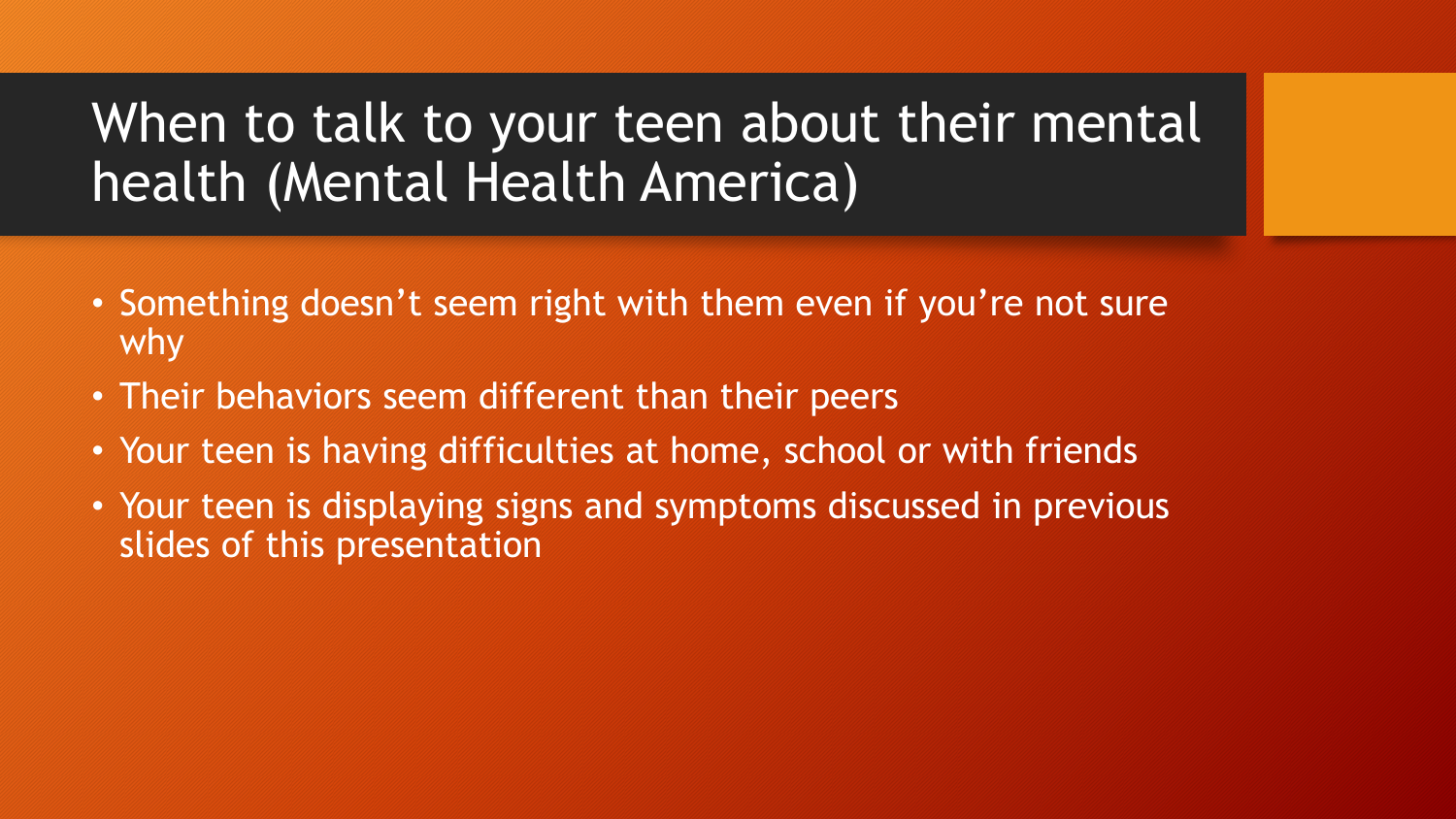# When to talk to your teen about their mental health (Mental Health America)

- Something doesn't seem right with them even if you're not sure why
- Their behaviors seem different than their peers
- Your teen is having difficulties at home, school or with friends
- Your teen is displaying signs and symptoms discussed in previous slides of this presentation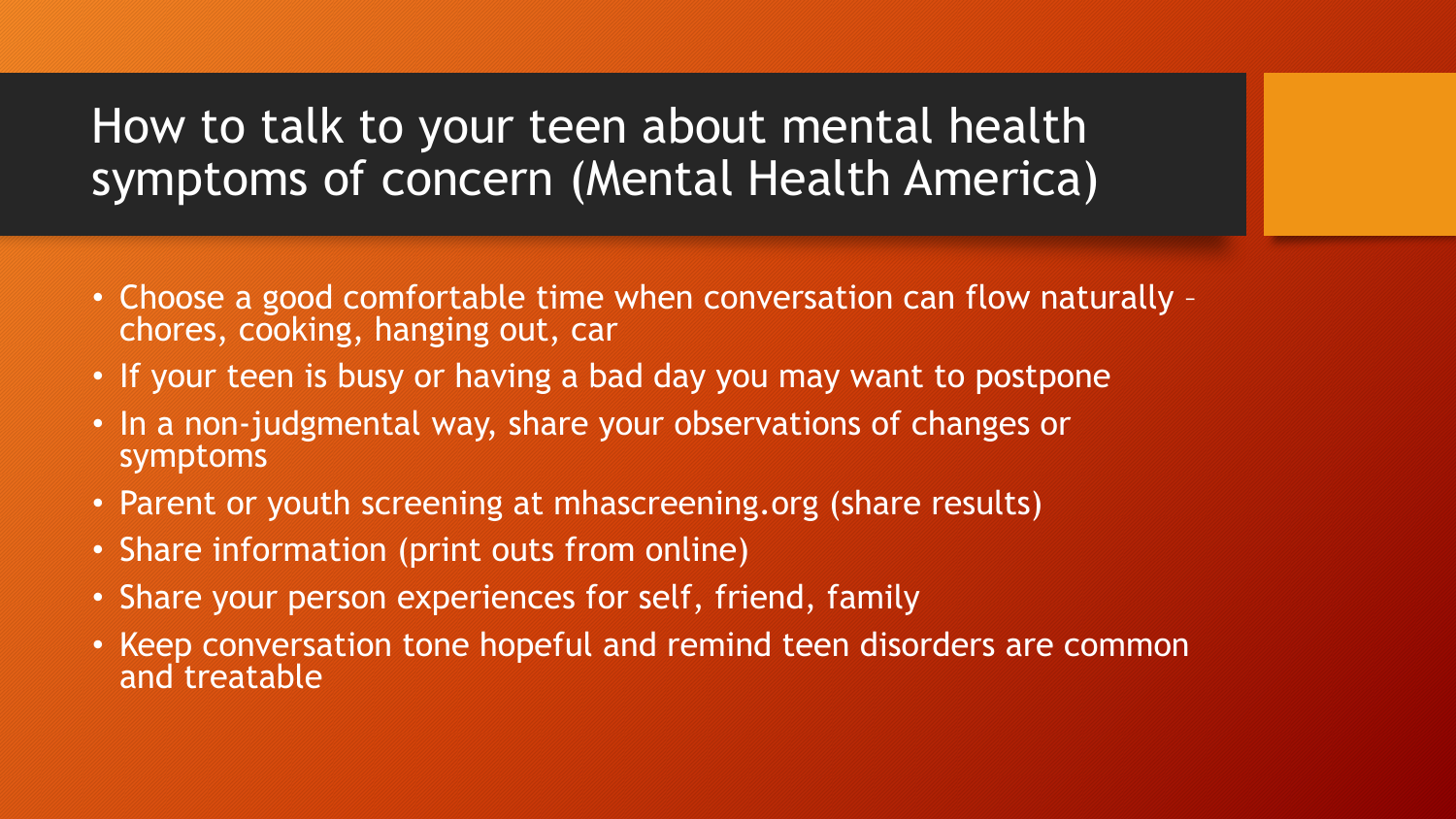#### How to talk to your teen about mental health symptoms of concern (Mental Health America)

- Choose a good comfortable time when conversation can flow naturally chores, cooking, hanging out, car
- If your teen is busy or having a bad day you may want to postpone
- In a non-judgmental way, share your observations of changes or symptoms
- Parent or youth screening at mhascreening.org (share results)
- Share information (print outs from online)
- Share your person experiences for self, friend, family
- Keep conversation tone hopeful and remind teen disorders are common and treatable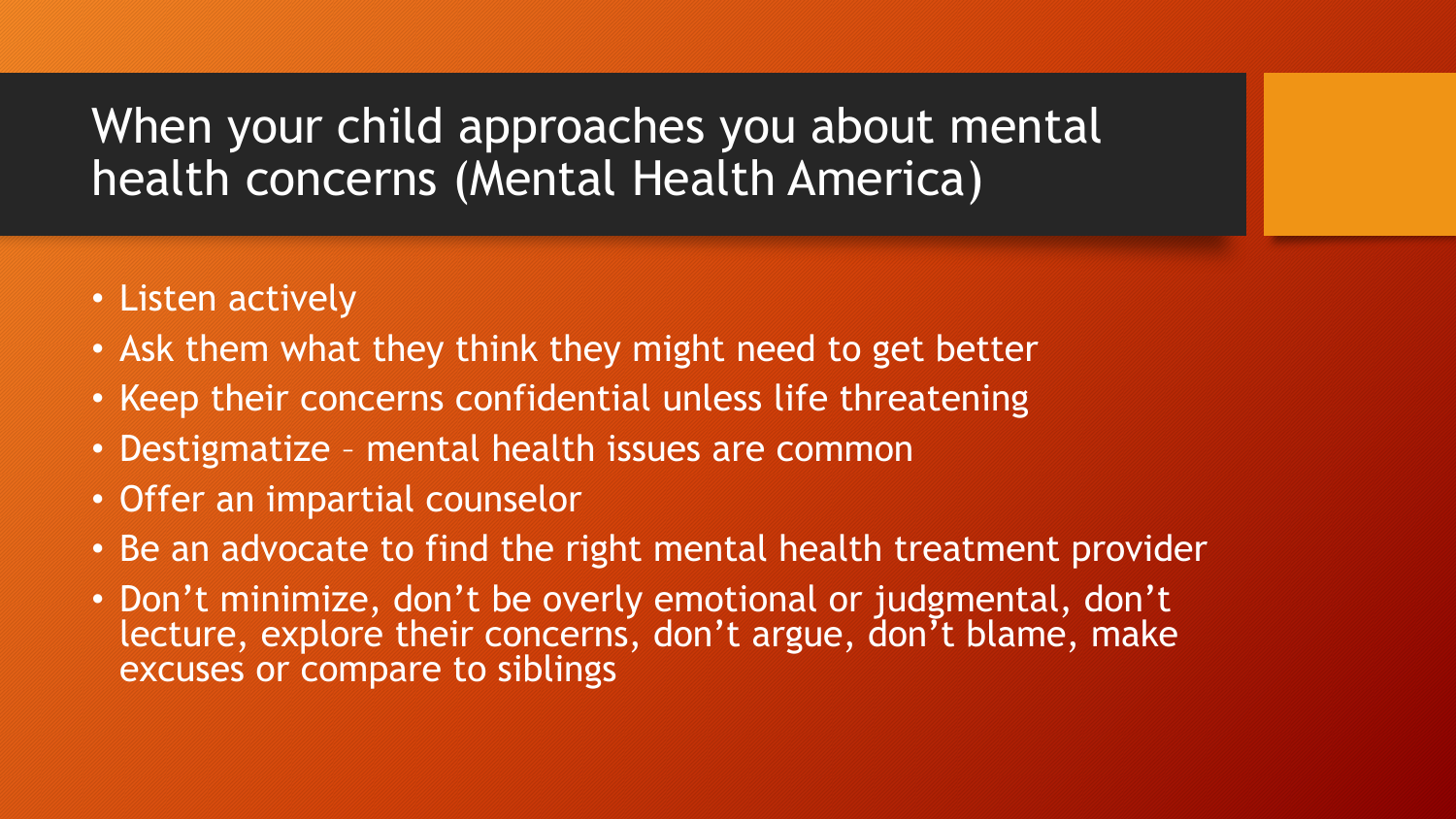#### When your child approaches you about mental health concerns (Mental Health America)

- Listen actively
- Ask them what they think they might need to get better
- Keep their concerns confidential unless life threatening
- Destigmatize mental health issues are common
- Offer an impartial counselor
- Be an advocate to find the right mental health treatment provider
- Don't minimize, don't be overly emotional or judgmental, don't lecture, explore their concerns, don't argue, don't blame, make excuses or compare to siblings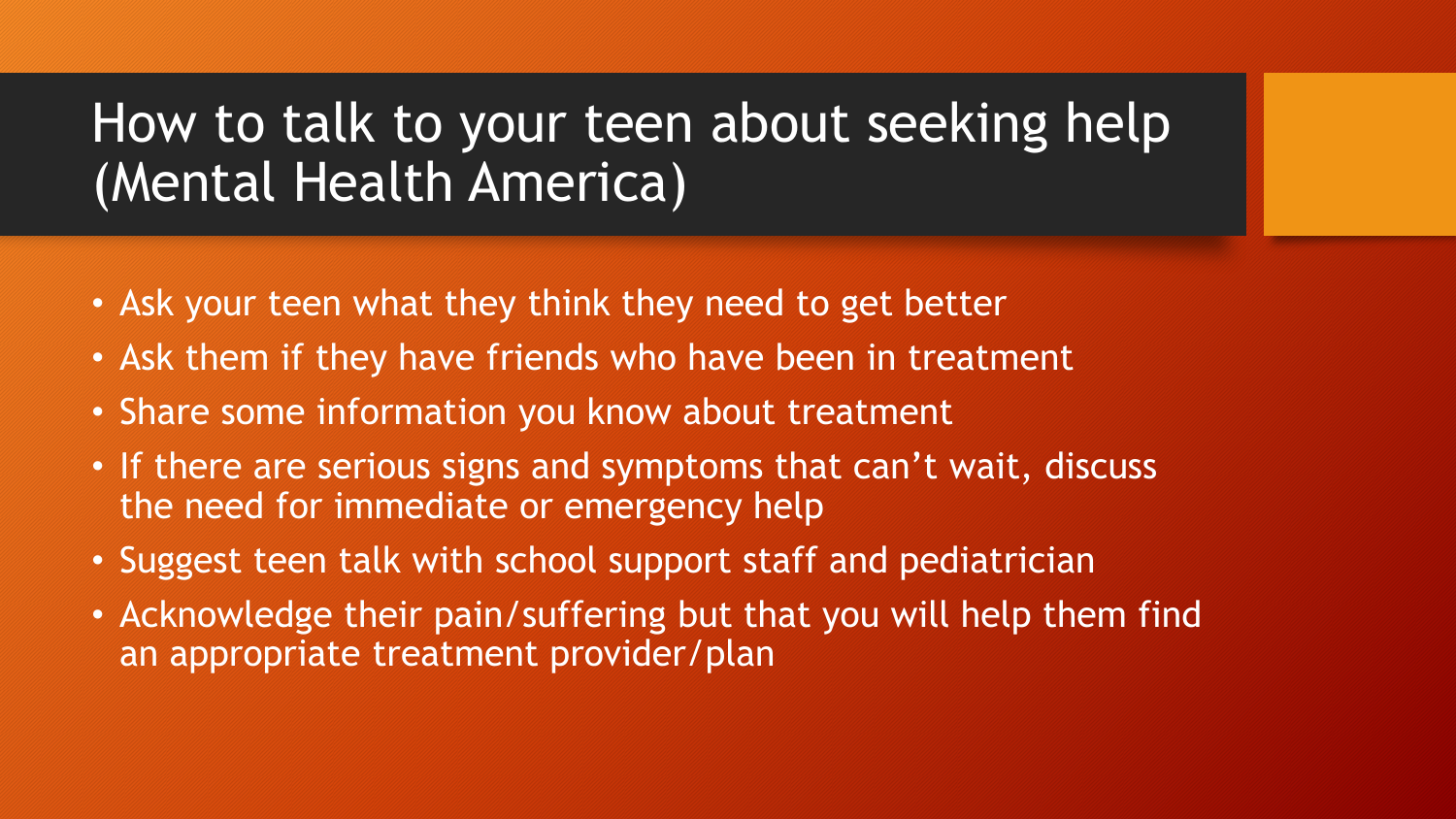# How to talk to your teen about seeking help (Mental Health America)

- Ask your teen what they think they need to get better
- Ask them if they have friends who have been in treatment
- Share some information you know about treatment
- If there are serious signs and symptoms that can't wait, discuss the need for immediate or emergency help
- Suggest teen talk with school support staff and pediatrician
- Acknowledge their pain/suffering but that you will help them find an appropriate treatment provider/plan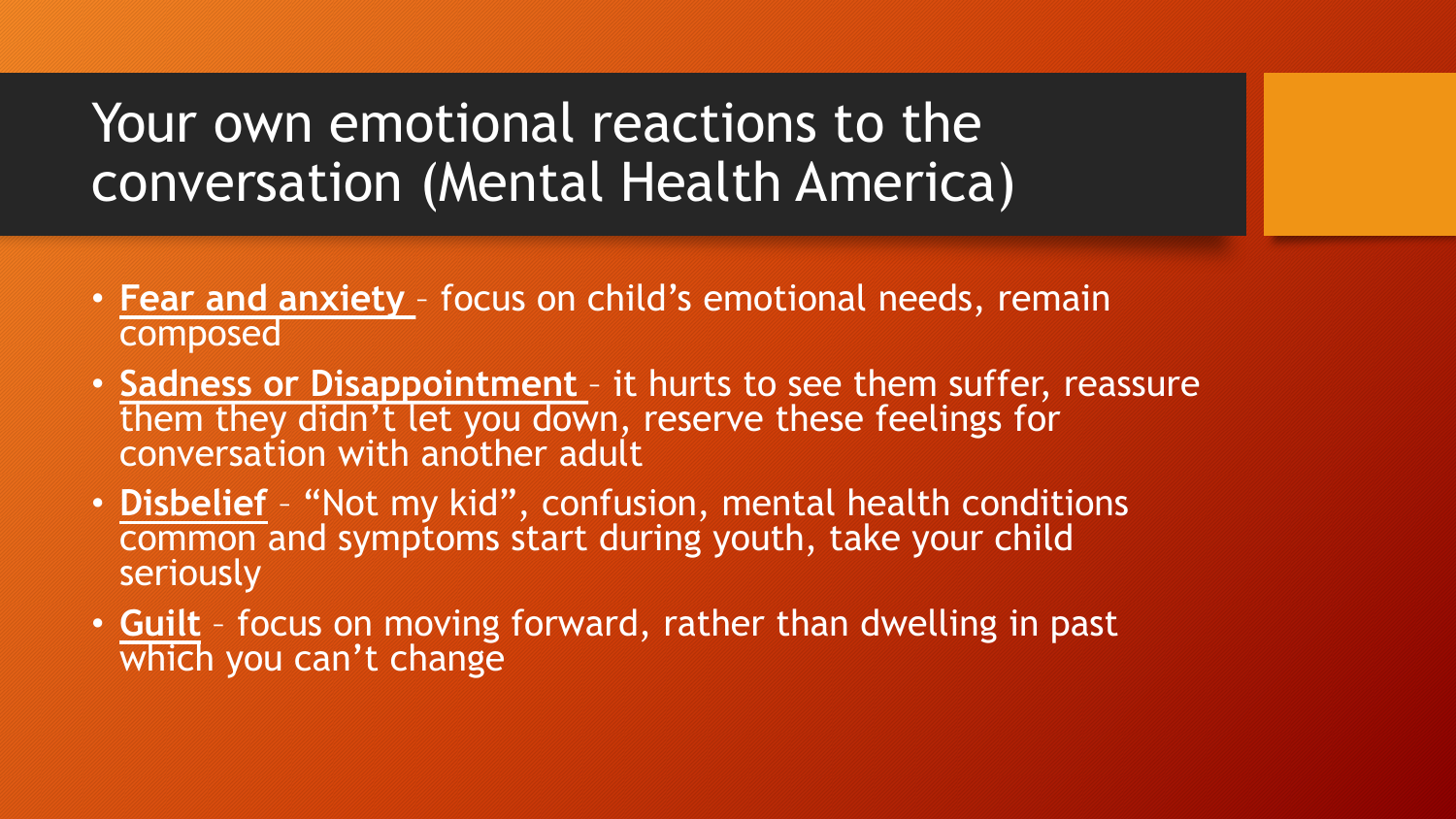## Your own emotional reactions to the conversation (Mental Health America)

- **Fear and anxiety**  focus on child's emotional needs, remain composed
- **Sadness or Disappointment**  it hurts to see them suffer, reassure them they didn't let you down, reserve these feelings for conversation with another adult
- **Disbelief** "Not my kid", confusion, mental health conditions common and symptoms start during youth, take your child seriously
- **Guilt** focus on moving forward, rather than dwelling in past which you can't change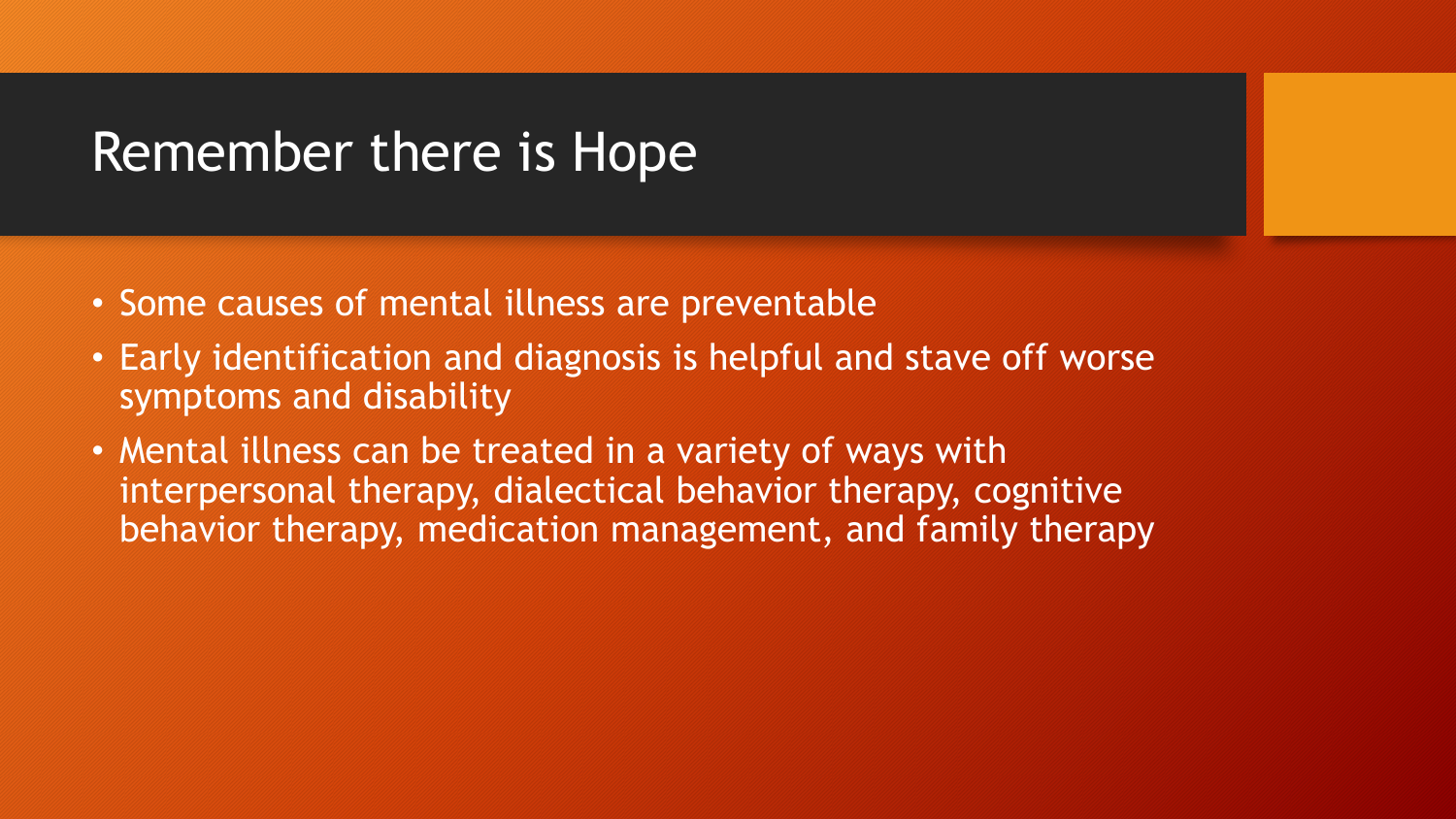### Remember there is Hope

- Some causes of mental illness are preventable
- Early identification and diagnosis is helpful and stave off worse symptoms and disability
- Mental illness can be treated in a variety of ways with interpersonal therapy, dialectical behavior therapy, cognitive behavior therapy, medication management, and family therapy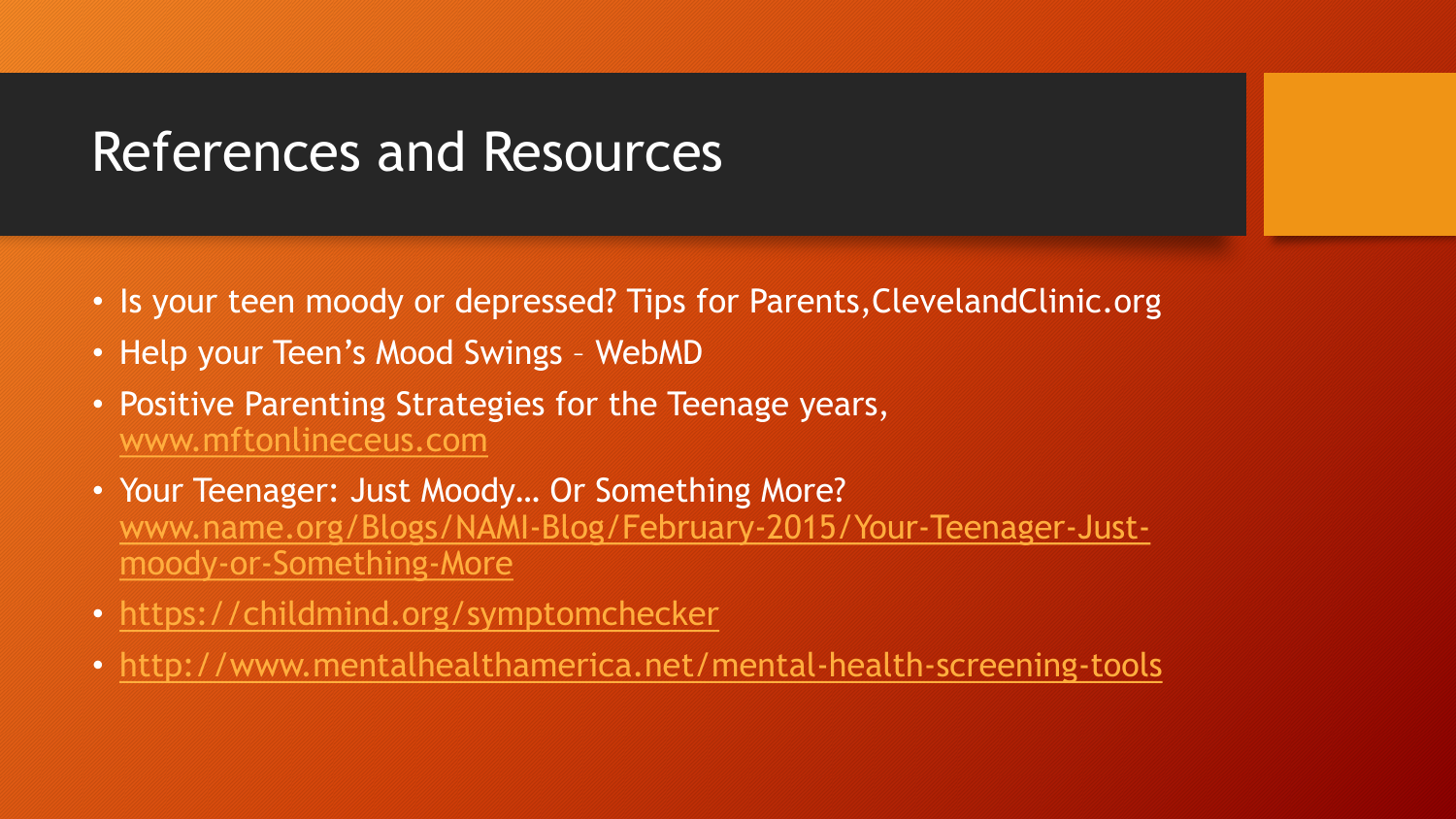## References and Resources

- Is your teen moody or depressed? Tips for Parents,ClevelandClinic.org
- Help your Teen's Mood Swings WebMD
- Positive Parenting Strategies for the Teenage years, [www.mftonlineceus.com](http://www.mftonlineceus.com/)
- Your Teenager: Just Moody… Or Something More? [www.name.org/Blogs/NAMI-Blog/February-2015/Your-Teenager-Just](http://www.name.org/Blogs/NAMI-Blog/February-2015/Your-Teenager-Just-moody-or-Something-More)moody-or-Something-More
- <https://childmind.org/symptomchecker>
- <http://www.mentalhealthamerica.net/mental-health-screening-tools>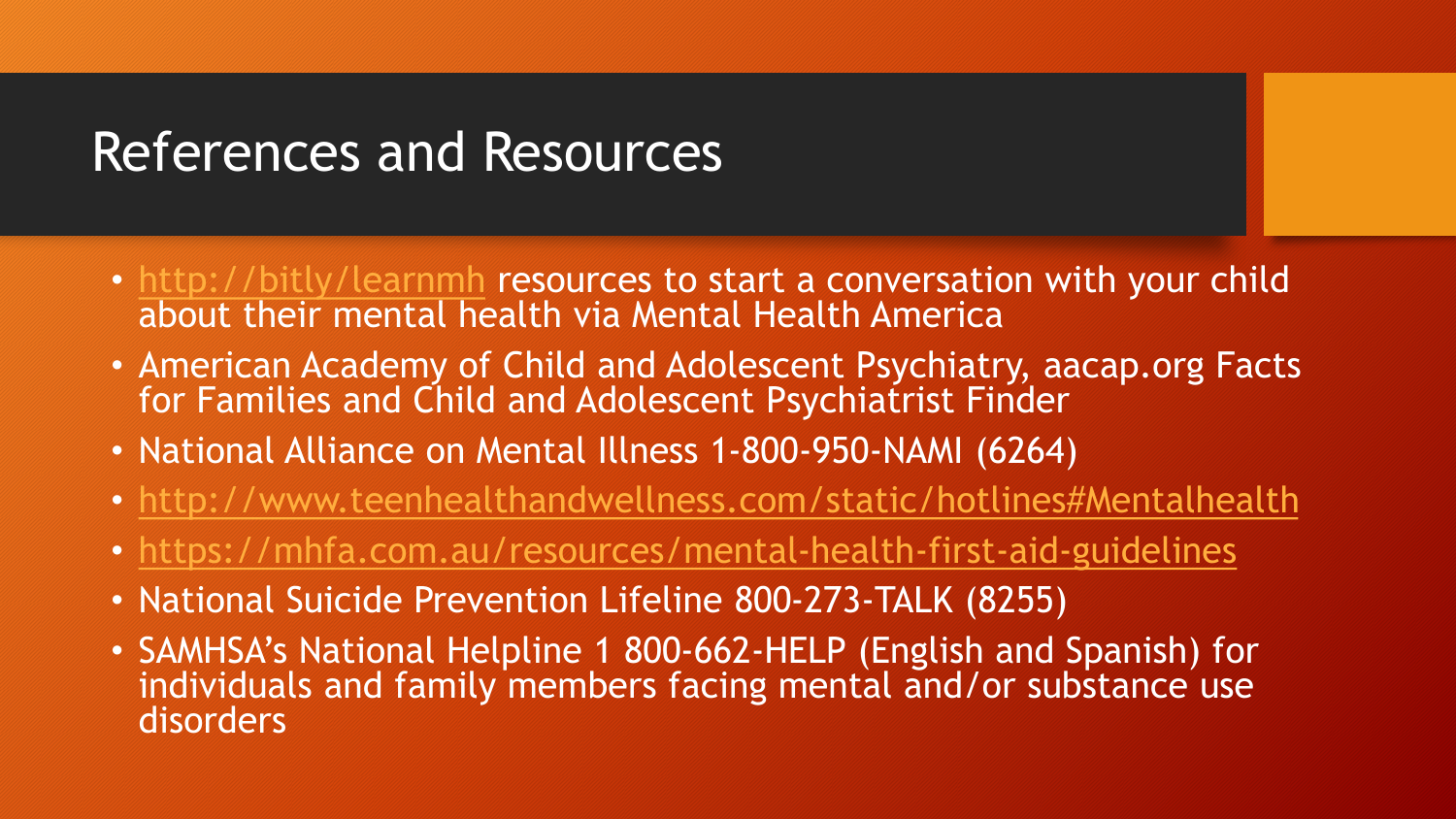### References and Resources

- <http://bitly/learnmh> resources to start a conversation with your child about their mental health via Mental Health America
- American Academy of Child and Adolescent Psychiatry, aacap.org Facts for Families and Child and Adolescent Psychiatrist Finder
- National Alliance on Mental Illness 1-800-950-NAMI (6264)
- <http://www.teenhealthandwellness.com/static/hotlines#Mentalhealth>
- <https://mhfa.com.au/resources/mental-health-first-aid-guidelines>
- National Suicide Prevention Lifeline 800-273-TALK (8255)
- SAMHSA's National Helpline 1 800-662-HELP (English and Spanish) for individuals and family members facing mental and/or substance use disorders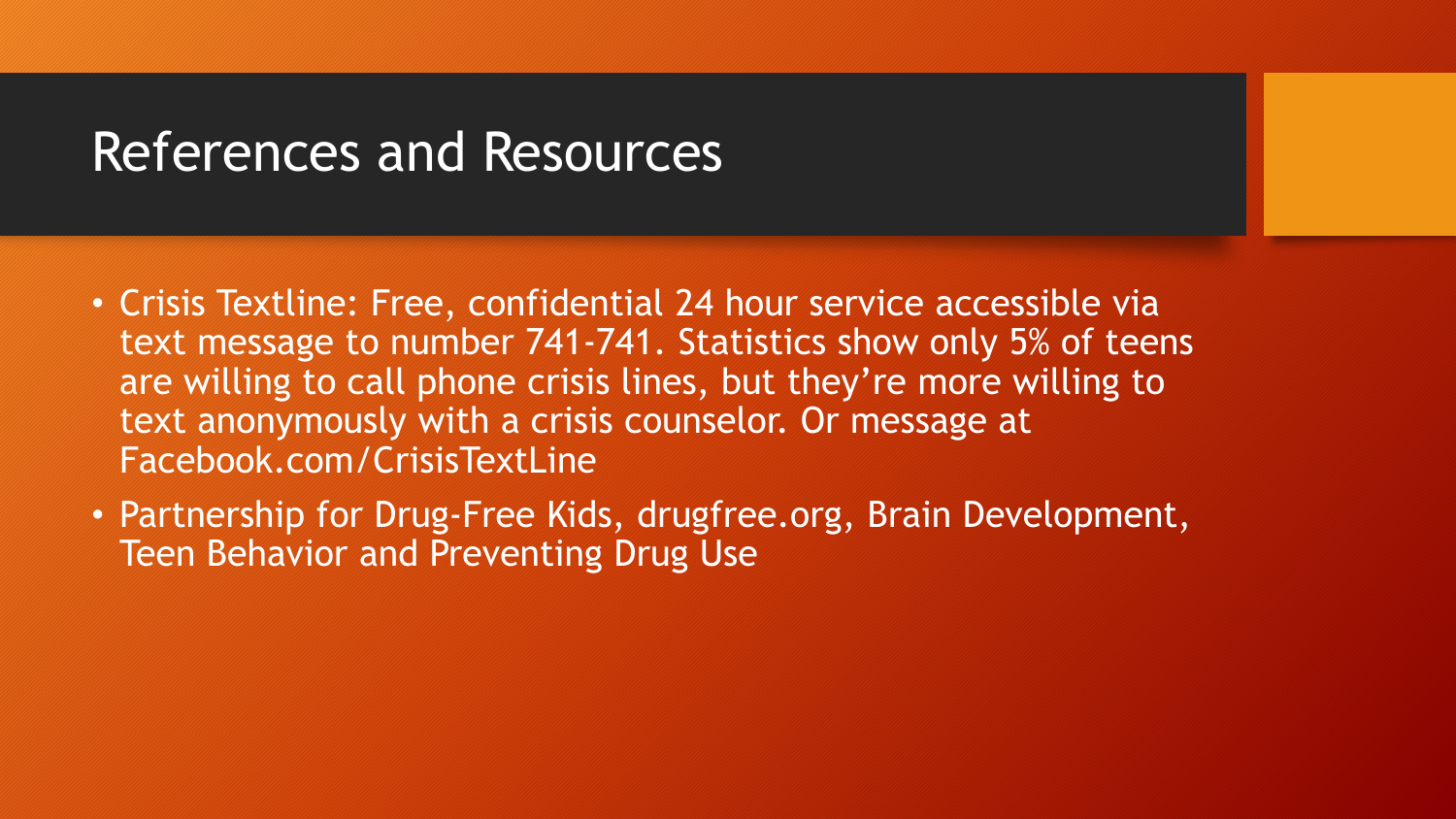#### References and Resources

- Crisis Textline: Free, confidential 24 hour service accessible via text message to number 741-741. Statistics show only 5% of teens are willing to call phone crisis lines, but they're more willing to text anonymously with a crisis counselor. Or message at Facebook.com/CrisisTextLine
- Partnership for Drug-Free Kids, drugfree.org, Brain Development, Teen Behavior and Preventing Drug Use